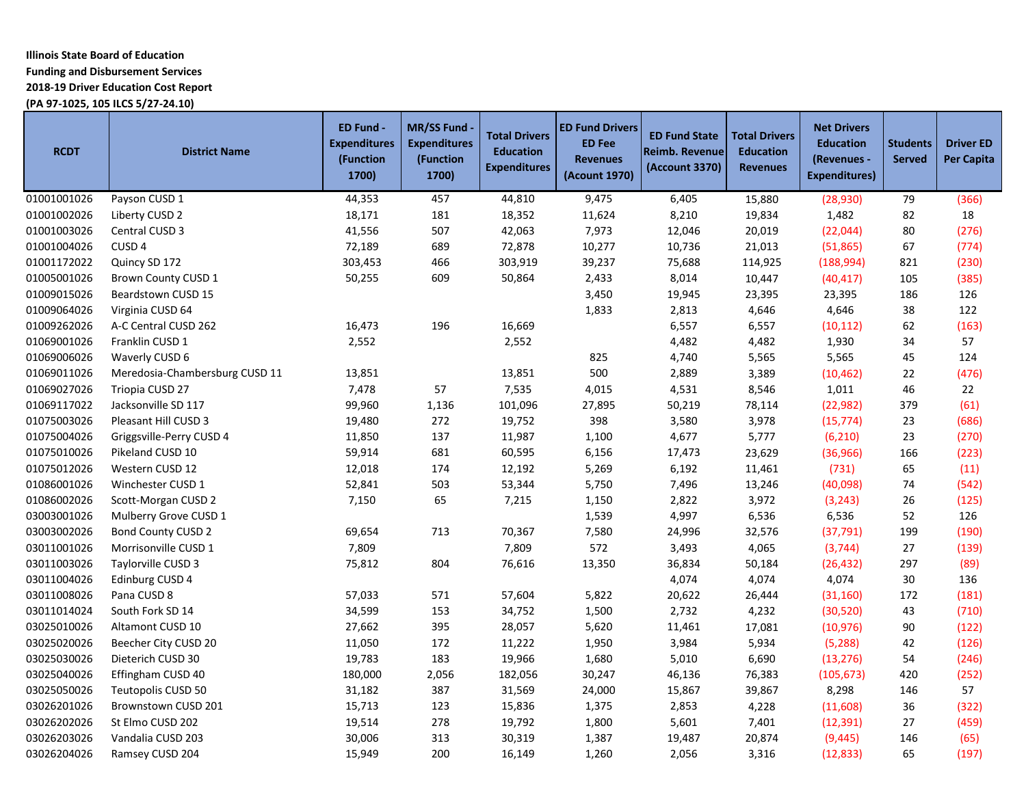# **Illinois State Board of Education Funding and Disbursement Services**

**2018-19 Driver Education Cost Report**

**(PA 97-1025, 105 ILCS 5/27-24.10)**

| <b>RCDT</b> | <b>District Name</b>           | ED Fund -<br><b>Expenditures</b><br>(Function<br>1700) | <b>MR/SS Fund</b><br><b>Expenditures</b><br>(Function<br>1700) | <b>Total Drivers</b><br><b>Education</b><br><b>Expenditures</b> | <b>ED Fund Drivers</b><br><b>ED Fee</b><br><b>Revenues</b><br>(Acount 1970) | <b>ED Fund State</b><br><b>Reimb. Revenue</b><br>(Account 3370) | <b>Total Drivers</b><br><b>Education</b><br><b>Revenues</b> | <b>Net Drivers</b><br><b>Education</b><br>(Revenues -<br><b>Expenditures)</b> | <b>Students</b><br><b>Served</b> | <b>Driver ED</b><br><b>Per Capita</b> |
|-------------|--------------------------------|--------------------------------------------------------|----------------------------------------------------------------|-----------------------------------------------------------------|-----------------------------------------------------------------------------|-----------------------------------------------------------------|-------------------------------------------------------------|-------------------------------------------------------------------------------|----------------------------------|---------------------------------------|
| 01001001026 | Payson CUSD 1                  | 44,353                                                 | 457                                                            | 44,810                                                          | 9,475                                                                       | 6,405                                                           | 15,880                                                      | (28, 930)                                                                     | 79                               | (366)                                 |
| 01001002026 | Liberty CUSD 2                 | 18,171                                                 | 181                                                            | 18,352                                                          | 11,624                                                                      | 8,210                                                           | 19,834                                                      | 1,482                                                                         | 82                               | 18                                    |
| 01001003026 | Central CUSD 3                 | 41,556                                                 | 507                                                            | 42,063                                                          | 7,973                                                                       | 12,046                                                          | 20,019                                                      | (22,044)                                                                      | 80                               | (276)                                 |
| 01001004026 | CUSD <sub>4</sub>              | 72,189                                                 | 689                                                            | 72,878                                                          | 10,277                                                                      | 10,736                                                          | 21,013                                                      | (51,865)                                                                      | 67                               | (774)                                 |
| 01001172022 | Quincy SD 172                  | 303,453                                                | 466                                                            | 303,919                                                         | 39,237                                                                      | 75,688                                                          | 114,925                                                     | (188,994)                                                                     | 821                              | (230)                                 |
| 01005001026 | Brown County CUSD 1            | 50,255                                                 | 609                                                            | 50,864                                                          | 2,433                                                                       | 8,014                                                           | 10,447                                                      | (40, 417)                                                                     | 105                              | (385)                                 |
| 01009015026 | Beardstown CUSD 15             |                                                        |                                                                |                                                                 | 3,450                                                                       | 19,945                                                          | 23,395                                                      | 23,395                                                                        | 186                              | 126                                   |
| 01009064026 | Virginia CUSD 64               |                                                        |                                                                |                                                                 | 1,833                                                                       | 2,813                                                           | 4,646                                                       | 4,646                                                                         | 38                               | 122                                   |
| 01009262026 | A-C Central CUSD 262           | 16,473                                                 | 196                                                            | 16,669                                                          |                                                                             | 6,557                                                           | 6,557                                                       | (10, 112)                                                                     | 62                               | (163)                                 |
| 01069001026 | Franklin CUSD 1                | 2,552                                                  |                                                                | 2,552                                                           |                                                                             | 4,482                                                           | 4,482                                                       | 1,930                                                                         | 34                               | 57                                    |
| 01069006026 | Waverly CUSD 6                 |                                                        |                                                                |                                                                 | 825                                                                         | 4,740                                                           | 5,565                                                       | 5,565                                                                         | 45                               | 124                                   |
| 01069011026 | Meredosia-Chambersburg CUSD 11 | 13,851                                                 |                                                                | 13,851                                                          | 500                                                                         | 2,889                                                           | 3,389                                                       | (10, 462)                                                                     | 22                               | (476)                                 |
| 01069027026 | Triopia CUSD 27                | 7,478                                                  | 57                                                             | 7,535                                                           | 4,015                                                                       | 4,531                                                           | 8,546                                                       | 1,011                                                                         | 46                               | 22                                    |
| 01069117022 | Jacksonville SD 117            | 99,960                                                 | 1,136                                                          | 101,096                                                         | 27,895                                                                      | 50,219                                                          | 78,114                                                      | (22, 982)                                                                     | 379                              | (61)                                  |
| 01075003026 | Pleasant Hill CUSD 3           | 19,480                                                 | 272                                                            | 19,752                                                          | 398                                                                         | 3,580                                                           | 3,978                                                       | (15, 774)                                                                     | 23                               | (686)                                 |
| 01075004026 | Griggsville-Perry CUSD 4       | 11,850                                                 | 137                                                            | 11,987                                                          | 1,100                                                                       | 4,677                                                           | 5,777                                                       | (6, 210)                                                                      | 23                               | (270)                                 |
| 01075010026 | Pikeland CUSD 10               | 59,914                                                 | 681                                                            | 60,595                                                          | 6,156                                                                       | 17,473                                                          | 23,629                                                      | (36, 966)                                                                     | 166                              | (223)                                 |
| 01075012026 | Western CUSD 12                | 12,018                                                 | 174                                                            | 12,192                                                          | 5,269                                                                       | 6,192                                                           | 11,461                                                      | (731)                                                                         | 65                               | (11)                                  |
| 01086001026 | Winchester CUSD 1              | 52,841                                                 | 503                                                            | 53,344                                                          | 5,750                                                                       | 7,496                                                           | 13,246                                                      | (40,098)                                                                      | 74                               | (542)                                 |
| 01086002026 | Scott-Morgan CUSD 2            | 7,150                                                  | 65                                                             | 7,215                                                           | 1,150                                                                       | 2,822                                                           | 3,972                                                       | (3, 243)                                                                      | 26                               | (125)                                 |
| 03003001026 | Mulberry Grove CUSD 1          |                                                        |                                                                |                                                                 | 1,539                                                                       | 4,997                                                           | 6,536                                                       | 6,536                                                                         | 52                               | 126                                   |
| 03003002026 | Bond County CUSD 2             | 69,654                                                 | 713                                                            | 70,367                                                          | 7,580                                                                       | 24,996                                                          | 32,576                                                      | (37, 791)                                                                     | 199                              | (190)                                 |
| 03011001026 | Morrisonville CUSD 1           | 7,809                                                  |                                                                | 7,809                                                           | 572                                                                         | 3,493                                                           | 4,065                                                       | (3,744)                                                                       | 27                               | (139)                                 |
| 03011003026 | Taylorville CUSD 3             | 75,812                                                 | 804                                                            | 76,616                                                          | 13,350                                                                      | 36,834                                                          | 50,184                                                      | (26, 432)                                                                     | 297                              | (89)                                  |
| 03011004026 | Edinburg CUSD 4                |                                                        |                                                                |                                                                 |                                                                             | 4,074                                                           | 4,074                                                       | 4,074                                                                         | 30                               | 136                                   |
| 03011008026 | Pana CUSD 8                    | 57,033                                                 | 571                                                            | 57,604                                                          | 5,822                                                                       | 20,622                                                          | 26,444                                                      | (31, 160)                                                                     | 172                              | (181)                                 |
| 03011014024 | South Fork SD 14               | 34,599                                                 | 153                                                            | 34,752                                                          | 1,500                                                                       | 2,732                                                           | 4,232                                                       | (30, 520)                                                                     | 43                               | (710)                                 |
| 03025010026 | Altamont CUSD 10               | 27,662                                                 | 395                                                            | 28,057                                                          | 5,620                                                                       | 11,461                                                          | 17,081                                                      | (10, 976)                                                                     | 90                               | (122)                                 |
| 03025020026 | Beecher City CUSD 20           | 11,050                                                 | 172                                                            | 11,222                                                          | 1,950                                                                       | 3,984                                                           | 5,934                                                       | (5, 288)                                                                      | 42                               | (126)                                 |
| 03025030026 | Dieterich CUSD 30              | 19,783                                                 | 183                                                            | 19,966                                                          | 1,680                                                                       | 5,010                                                           | 6,690                                                       | (13, 276)                                                                     | 54                               | (246)                                 |
| 03025040026 | Effingham CUSD 40              | 180,000                                                | 2,056                                                          | 182,056                                                         | 30,247                                                                      | 46,136                                                          | 76,383                                                      | (105, 673)                                                                    | 420                              | (252)                                 |
| 03025050026 | Teutopolis CUSD 50             | 31,182                                                 | 387                                                            | 31,569                                                          | 24,000                                                                      | 15,867                                                          | 39,867                                                      | 8,298                                                                         | 146                              | 57                                    |
| 03026201026 | Brownstown CUSD 201            | 15,713                                                 | 123                                                            | 15,836                                                          | 1,375                                                                       | 2,853                                                           | 4,228                                                       | (11,608)                                                                      | 36                               | (322)                                 |
| 03026202026 | St Elmo CUSD 202               | 19,514                                                 | 278                                                            | 19,792                                                          | 1,800                                                                       | 5,601                                                           | 7,401                                                       | (12, 391)                                                                     | 27                               | (459)                                 |
| 03026203026 | Vandalia CUSD 203              | 30,006                                                 | 313                                                            | 30,319                                                          | 1,387                                                                       | 19,487                                                          | 20,874                                                      | (9, 445)                                                                      | 146                              | (65)                                  |
| 03026204026 | Ramsey CUSD 204                | 15,949                                                 | 200                                                            | 16,149                                                          | 1,260                                                                       | 2,056                                                           | 3,316                                                       | (12, 833)                                                                     | 65                               | (197)                                 |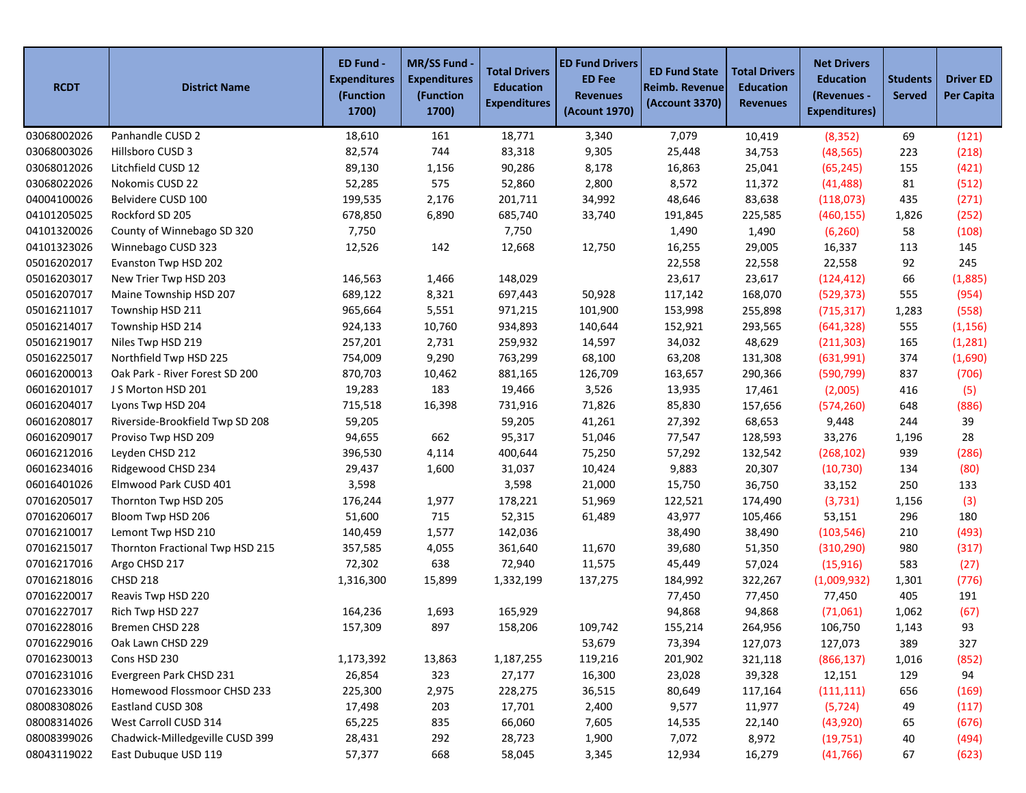| <b>RCDT</b> | <b>District Name</b>            | ED Fund -<br><b>Expenditures</b><br>(Function<br>1700) | <b>MR/SS Fund</b><br><b>Expenditures</b><br>(Function<br>1700) | <b>Total Drivers</b><br><b>Education</b><br><b>Expenditures</b> | <b>ED Fund Drivers</b><br><b>ED Fee</b><br><b>Revenues</b><br>(Acount 1970) | <b>ED Fund State</b><br><b>Reimb. Revenue</b><br>(Account 3370) | <b>Total Drivers</b><br><b>Education</b><br><b>Revenues</b> | <b>Net Drivers</b><br><b>Education</b><br>(Revenues -<br><b>Expenditures)</b> | <b>Students</b><br><b>Served</b> | <b>Driver ED</b><br><b>Per Capita</b> |
|-------------|---------------------------------|--------------------------------------------------------|----------------------------------------------------------------|-----------------------------------------------------------------|-----------------------------------------------------------------------------|-----------------------------------------------------------------|-------------------------------------------------------------|-------------------------------------------------------------------------------|----------------------------------|---------------------------------------|
| 03068002026 | Panhandle CUSD 2                | 18,610                                                 | 161                                                            | 18,771                                                          | 3,340                                                                       | 7,079                                                           | 10,419                                                      | (8, 352)                                                                      | 69                               | (121)                                 |
| 03068003026 | Hillsboro CUSD 3                | 82,574                                                 | 744                                                            | 83,318                                                          | 9,305                                                                       | 25,448                                                          | 34,753                                                      | (48, 565)                                                                     | 223                              | (218)                                 |
| 03068012026 | Litchfield CUSD 12              | 89,130                                                 | 1,156                                                          | 90,286                                                          | 8,178                                                                       | 16,863                                                          | 25,041                                                      | (65, 245)                                                                     | 155                              | (421)                                 |
| 03068022026 | Nokomis CUSD 22                 | 52,285                                                 | 575                                                            | 52,860                                                          | 2,800                                                                       | 8,572                                                           | 11,372                                                      | (41, 488)                                                                     | 81                               | (512)                                 |
| 04004100026 | Belvidere CUSD 100              | 199,535                                                | 2,176                                                          | 201,711                                                         | 34,992                                                                      | 48,646                                                          | 83,638                                                      | (118,073)                                                                     | 435                              | (271)                                 |
| 04101205025 | Rockford SD 205                 | 678,850                                                | 6,890                                                          | 685,740                                                         | 33,740                                                                      | 191,845                                                         | 225,585                                                     | (460, 155)                                                                    | 1,826                            | (252)                                 |
| 04101320026 | County of Winnebago SD 320      | 7,750                                                  |                                                                | 7,750                                                           |                                                                             | 1,490                                                           | 1,490                                                       | (6, 260)                                                                      | 58                               | (108)                                 |
| 04101323026 | Winnebago CUSD 323              | 12,526                                                 | 142                                                            | 12,668                                                          | 12,750                                                                      | 16,255                                                          | 29,005                                                      | 16,337                                                                        | 113                              | 145                                   |
| 05016202017 | Evanston Twp HSD 202            |                                                        |                                                                |                                                                 |                                                                             | 22,558                                                          | 22,558                                                      | 22,558                                                                        | 92                               | 245                                   |
| 05016203017 | New Trier Twp HSD 203           | 146,563                                                | 1,466                                                          | 148,029                                                         |                                                                             | 23,617                                                          | 23,617                                                      | (124, 412)                                                                    | 66                               | (1,885)                               |
| 05016207017 | Maine Township HSD 207          | 689,122                                                | 8,321                                                          | 697,443                                                         | 50,928                                                                      | 117,142                                                         | 168,070                                                     | (529, 373)                                                                    | 555                              | (954)                                 |
| 05016211017 | Township HSD 211                | 965,664                                                | 5,551                                                          | 971,215                                                         | 101,900                                                                     | 153,998                                                         | 255,898                                                     | (715, 317)                                                                    | 1,283                            | (558)                                 |
| 05016214017 | Township HSD 214                | 924,133                                                | 10,760                                                         | 934,893                                                         | 140,644                                                                     | 152,921                                                         | 293,565                                                     | (641, 328)                                                                    | 555                              | (1, 156)                              |
| 05016219017 | Niles Twp HSD 219               | 257,201                                                | 2,731                                                          | 259,932                                                         | 14,597                                                                      | 34,032                                                          | 48,629                                                      | (211, 303)                                                                    | 165                              | (1, 281)                              |
| 05016225017 | Northfield Twp HSD 225          | 754,009                                                | 9,290                                                          | 763,299                                                         | 68,100                                                                      | 63,208                                                          | 131,308                                                     | (631,991)                                                                     | 374                              | (1,690)                               |
| 06016200013 | Oak Park - River Forest SD 200  | 870,703                                                | 10,462                                                         | 881,165                                                         | 126,709                                                                     | 163,657                                                         | 290,366                                                     | (590, 799)                                                                    | 837                              | (706)                                 |
| 06016201017 | J S Morton HSD 201              | 19,283                                                 | 183                                                            | 19,466                                                          | 3,526                                                                       | 13,935                                                          | 17,461                                                      | (2,005)                                                                       | 416                              | (5)                                   |
| 06016204017 | Lyons Twp HSD 204               | 715,518                                                | 16,398                                                         | 731,916                                                         | 71,826                                                                      | 85,830                                                          | 157,656                                                     | (574, 260)                                                                    | 648                              | (886)                                 |
| 06016208017 | Riverside-Brookfield Twp SD 208 | 59,205                                                 |                                                                | 59,205                                                          | 41,261                                                                      | 27,392                                                          | 68,653                                                      | 9,448                                                                         | 244                              | 39                                    |
| 06016209017 | Proviso Twp HSD 209             | 94,655                                                 | 662                                                            | 95,317                                                          | 51,046                                                                      | 77,547                                                          | 128,593                                                     | 33,276                                                                        | 1,196                            | 28                                    |
| 06016212016 | Leyden CHSD 212                 | 396,530                                                | 4,114                                                          | 400,644                                                         | 75,250                                                                      | 57,292                                                          | 132,542                                                     | (268, 102)                                                                    | 939                              | (286)                                 |
| 06016234016 | Ridgewood CHSD 234              | 29,437                                                 | 1,600                                                          | 31,037                                                          | 10,424                                                                      | 9,883                                                           | 20,307                                                      | (10, 730)                                                                     | 134                              | (80)                                  |
| 06016401026 | Elmwood Park CUSD 401           | 3,598                                                  |                                                                | 3,598                                                           | 21,000                                                                      | 15,750                                                          | 36,750                                                      | 33,152                                                                        | 250                              | 133                                   |
| 07016205017 | Thornton Twp HSD 205            | 176,244                                                | 1,977                                                          | 178,221                                                         | 51,969                                                                      | 122,521                                                         | 174,490                                                     | (3, 731)                                                                      | 1,156                            | (3)                                   |
| 07016206017 | Bloom Twp HSD 206               | 51,600                                                 | 715                                                            | 52,315                                                          | 61,489                                                                      | 43,977                                                          | 105,466                                                     | 53,151                                                                        | 296                              | 180                                   |
| 07016210017 | Lemont Twp HSD 210              | 140,459                                                | 1,577                                                          | 142,036                                                         |                                                                             | 38,490                                                          | 38,490                                                      | (103, 546)                                                                    | 210                              | (493)                                 |
| 07016215017 | Thornton Fractional Twp HSD 215 | 357,585                                                | 4,055                                                          | 361,640                                                         | 11,670                                                                      | 39,680                                                          | 51,350                                                      | (310, 290)                                                                    | 980                              | (317)                                 |
| 07016217016 | Argo CHSD 217                   | 72,302                                                 | 638                                                            | 72,940                                                          | 11,575                                                                      | 45,449                                                          | 57,024                                                      | (15, 916)                                                                     | 583                              | (27)                                  |
| 07016218016 | <b>CHSD 218</b>                 | 1,316,300                                              | 15,899                                                         | 1,332,199                                                       | 137,275                                                                     | 184,992                                                         | 322,267                                                     | (1,009,932)                                                                   | 1,301                            | (776)                                 |
| 07016220017 | Reavis Twp HSD 220              |                                                        |                                                                |                                                                 |                                                                             | 77,450                                                          | 77,450                                                      | 77,450                                                                        | 405                              | 191                                   |
| 07016227017 | Rich Twp HSD 227                | 164,236                                                | 1,693                                                          | 165,929                                                         |                                                                             | 94,868                                                          | 94,868                                                      | (71,061)                                                                      | 1,062                            | (67)                                  |
| 07016228016 | Bremen CHSD 228                 | 157,309                                                | 897                                                            | 158,206                                                         | 109,742                                                                     | 155,214                                                         | 264,956                                                     | 106,750                                                                       | 1,143                            | 93                                    |
| 07016229016 | Oak Lawn CHSD 229               |                                                        |                                                                |                                                                 | 53,679                                                                      | 73,394                                                          | 127,073                                                     | 127,073                                                                       | 389                              | 327                                   |
| 07016230013 | Cons HSD 230                    | 1,173,392                                              | 13,863                                                         | 1,187,255                                                       | 119,216                                                                     | 201,902                                                         | 321,118                                                     | (866, 137)                                                                    | 1,016                            | (852)                                 |
| 07016231016 | Evergreen Park CHSD 231         | 26,854                                                 | 323                                                            | 27,177                                                          | 16,300                                                                      | 23,028                                                          | 39,328                                                      | 12,151                                                                        | 129                              | 94                                    |
| 07016233016 | Homewood Flossmoor CHSD 233     | 225,300                                                | 2,975                                                          | 228,275                                                         | 36,515                                                                      | 80,649                                                          | 117,164                                                     | (111, 111)                                                                    | 656                              | (169)                                 |
| 08008308026 | Eastland CUSD 308               | 17,498                                                 | 203                                                            | 17,701                                                          | 2,400                                                                       | 9,577                                                           | 11,977                                                      | (5, 724)                                                                      | 49                               | (117)                                 |
| 08008314026 | West Carroll CUSD 314           | 65,225                                                 | 835                                                            | 66,060                                                          | 7,605                                                                       | 14,535                                                          | 22,140                                                      | (43, 920)                                                                     | 65                               | (676)                                 |
| 08008399026 | Chadwick-Milledgeville CUSD 399 | 28,431                                                 | 292                                                            | 28,723                                                          | 1,900                                                                       | 7,072                                                           | 8,972                                                       | (19, 751)                                                                     | 40                               | (494)                                 |
| 08043119022 | East Dubuque USD 119            | 57,377                                                 | 668                                                            | 58,045                                                          | 3,345                                                                       | 12,934                                                          | 16,279                                                      | (41, 766)                                                                     | 67                               | (623)                                 |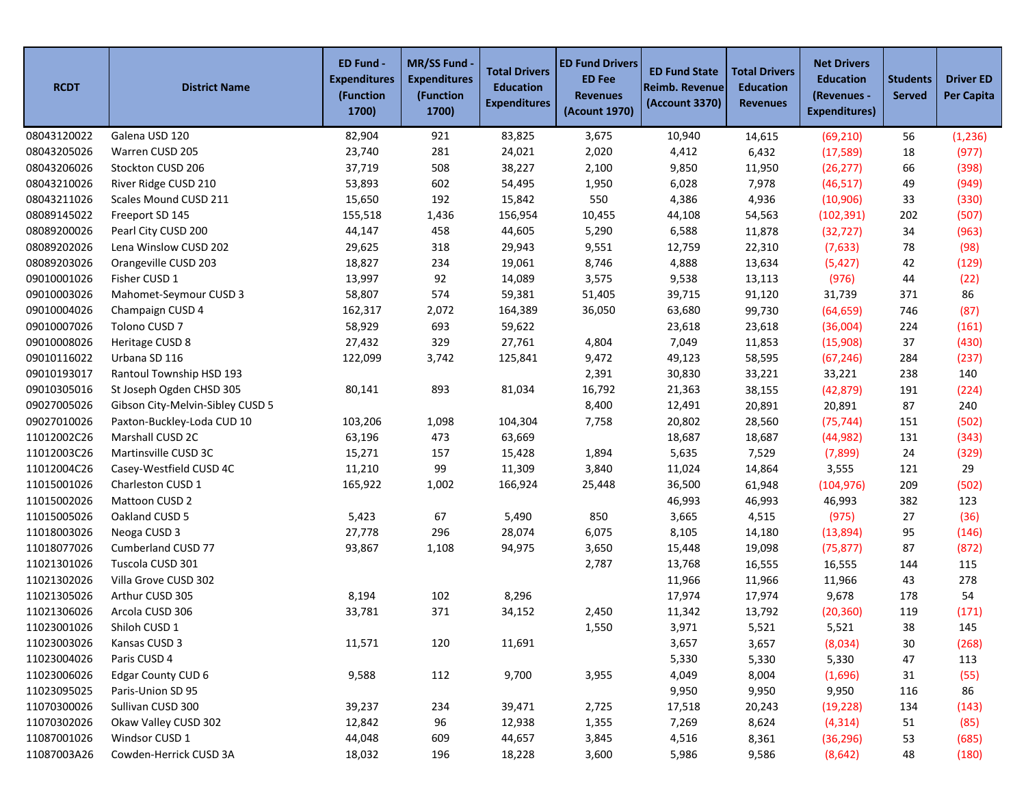| <b>RCDT</b> | <b>District Name</b>             | ED Fund -<br><b>Expenditures</b><br>(Function<br>1700) | MR/SS Fund -<br><b>Expenditures</b><br>(Function<br>1700) | <b>Total Drivers</b><br><b>Education</b><br><b>Expenditures</b> | <b>ED Fund Drivers</b><br><b>ED Fee</b><br><b>Revenues</b><br>(Acount 1970) | <b>ED Fund State</b><br><b>Reimb. Revenue</b><br>(Account 3370) | <b>Total Drivers</b><br><b>Education</b><br><b>Revenues</b> | <b>Net Drivers</b><br><b>Education</b><br>(Revenues -<br><b>Expenditures)</b> | <b>Students</b><br><b>Served</b> | <b>Driver ED</b><br><b>Per Capita</b> |
|-------------|----------------------------------|--------------------------------------------------------|-----------------------------------------------------------|-----------------------------------------------------------------|-----------------------------------------------------------------------------|-----------------------------------------------------------------|-------------------------------------------------------------|-------------------------------------------------------------------------------|----------------------------------|---------------------------------------|
| 08043120022 | Galena USD 120                   | 82,904                                                 | 921                                                       | 83,825                                                          | 3,675                                                                       | 10,940                                                          | 14,615                                                      | (69, 210)                                                                     | 56                               | (1, 236)                              |
| 08043205026 | Warren CUSD 205                  | 23,740                                                 | 281                                                       | 24,021                                                          | 2,020                                                                       | 4,412                                                           | 6,432                                                       | (17, 589)                                                                     | 18                               | (977)                                 |
| 08043206026 | Stockton CUSD 206                | 37,719                                                 | 508                                                       | 38,227                                                          | 2,100                                                                       | 9,850                                                           | 11,950                                                      | (26, 277)                                                                     | 66                               | (398)                                 |
| 08043210026 | River Ridge CUSD 210             | 53,893                                                 | 602                                                       | 54,495                                                          | 1,950                                                                       | 6,028                                                           | 7,978                                                       | (46, 517)                                                                     | 49                               | (949)                                 |
| 08043211026 | Scales Mound CUSD 211            | 15,650                                                 | 192                                                       | 15,842                                                          | 550                                                                         | 4,386                                                           | 4,936                                                       | (10, 906)                                                                     | 33                               | (330)                                 |
| 08089145022 | Freeport SD 145                  | 155,518                                                | 1,436                                                     | 156,954                                                         | 10,455                                                                      | 44,108                                                          | 54,563                                                      | (102, 391)                                                                    | 202                              | (507)                                 |
| 08089200026 | Pearl City CUSD 200              | 44,147                                                 | 458                                                       | 44,605                                                          | 5,290                                                                       | 6,588                                                           | 11,878                                                      | (32, 727)                                                                     | 34                               | (963)                                 |
| 08089202026 | Lena Winslow CUSD 202            | 29,625                                                 | 318                                                       | 29,943                                                          | 9,551                                                                       | 12,759                                                          | 22,310                                                      | (7,633)                                                                       | 78                               | (98)                                  |
| 08089203026 | Orangeville CUSD 203             | 18,827                                                 | 234                                                       | 19,061                                                          | 8,746                                                                       | 4,888                                                           | 13,634                                                      | (5, 427)                                                                      | 42                               | (129)                                 |
| 09010001026 | Fisher CUSD 1                    | 13,997                                                 | 92                                                        | 14,089                                                          | 3,575                                                                       | 9,538                                                           | 13,113                                                      | (976)                                                                         | 44                               | (22)                                  |
| 09010003026 | Mahomet-Seymour CUSD 3           | 58,807                                                 | 574                                                       | 59,381                                                          | 51,405                                                                      | 39,715                                                          | 91,120                                                      | 31,739                                                                        | 371                              | 86                                    |
| 09010004026 | Champaign CUSD 4                 | 162,317                                                | 2,072                                                     | 164,389                                                         | 36,050                                                                      | 63,680                                                          | 99,730                                                      | (64, 659)                                                                     | 746                              | (87)                                  |
| 09010007026 | Tolono CUSD 7                    | 58,929                                                 | 693                                                       | 59,622                                                          |                                                                             | 23,618                                                          | 23,618                                                      | (36,004)                                                                      | 224                              | (161)                                 |
| 09010008026 | Heritage CUSD 8                  | 27,432                                                 | 329                                                       | 27,761                                                          | 4,804                                                                       | 7,049                                                           | 11,853                                                      | (15,908)                                                                      | 37                               | (430)                                 |
| 09010116022 | Urbana SD 116                    | 122,099                                                | 3,742                                                     | 125,841                                                         | 9,472                                                                       | 49,123                                                          | 58,595                                                      | (67, 246)                                                                     | 284                              | (237)                                 |
| 09010193017 | Rantoul Township HSD 193         |                                                        |                                                           |                                                                 | 2,391                                                                       | 30,830                                                          | 33,221                                                      | 33,221                                                                        | 238                              | 140                                   |
| 09010305016 | St Joseph Ogden CHSD 305         | 80,141                                                 | 893                                                       | 81,034                                                          | 16,792                                                                      | 21,363                                                          | 38,155                                                      | (42, 879)                                                                     | 191                              | (224)                                 |
| 09027005026 | Gibson City-Melvin-Sibley CUSD 5 |                                                        |                                                           |                                                                 | 8,400                                                                       | 12,491                                                          | 20,891                                                      | 20,891                                                                        | 87                               | 240                                   |
| 09027010026 | Paxton-Buckley-Loda CUD 10       | 103,206                                                | 1,098                                                     | 104,304                                                         | 7,758                                                                       | 20,802                                                          | 28,560                                                      | (75, 744)                                                                     | 151                              | (502)                                 |
| 11012002C26 | Marshall CUSD 2C                 | 63,196                                                 | 473                                                       | 63,669                                                          |                                                                             | 18,687                                                          | 18,687                                                      | (44, 982)                                                                     | 131                              | (343)                                 |
| 11012003C26 | Martinsville CUSD 3C             | 15,271                                                 | 157                                                       | 15,428                                                          | 1,894                                                                       | 5,635                                                           | 7,529                                                       | (7,899)                                                                       | 24                               | (329)                                 |
| 11012004C26 | Casey-Westfield CUSD 4C          | 11,210                                                 | 99                                                        | 11,309                                                          | 3,840                                                                       | 11,024                                                          | 14,864                                                      | 3,555                                                                         | 121                              | 29                                    |
| 11015001026 | Charleston CUSD 1                | 165,922                                                | 1,002                                                     | 166,924                                                         | 25,448                                                                      | 36,500                                                          | 61,948                                                      | (104, 976)                                                                    | 209                              | (502)                                 |
| 11015002026 | Mattoon CUSD 2                   |                                                        |                                                           |                                                                 |                                                                             | 46,993                                                          | 46,993                                                      | 46,993                                                                        | 382                              | 123                                   |
| 11015005026 | Oakland CUSD 5                   | 5,423                                                  | 67                                                        | 5,490                                                           | 850                                                                         | 3,665                                                           | 4,515                                                       | (975)                                                                         | 27                               | (36)                                  |
| 11018003026 | Neoga CUSD 3                     | 27,778                                                 | 296                                                       | 28,074                                                          | 6,075                                                                       | 8,105                                                           | 14,180                                                      | (13,894)                                                                      | 95                               | (146)                                 |
| 11018077026 | Cumberland CUSD 77               | 93,867                                                 | 1,108                                                     | 94,975                                                          | 3,650                                                                       | 15,448                                                          | 19,098                                                      | (75, 877)                                                                     | 87                               | (872)                                 |
| 11021301026 | Tuscola CUSD 301                 |                                                        |                                                           |                                                                 | 2,787                                                                       | 13,768                                                          | 16,555                                                      | 16,555                                                                        | 144                              | 115                                   |
| 11021302026 | Villa Grove CUSD 302             |                                                        |                                                           |                                                                 |                                                                             | 11,966                                                          | 11,966                                                      | 11,966                                                                        | 43                               | 278                                   |
| 11021305026 | Arthur CUSD 305                  | 8,194                                                  | 102                                                       | 8,296                                                           |                                                                             | 17,974                                                          | 17,974                                                      | 9,678                                                                         | 178                              | 54                                    |
| 11021306026 | Arcola CUSD 306                  | 33,781                                                 | 371                                                       | 34,152                                                          | 2,450                                                                       | 11,342                                                          | 13,792                                                      | (20, 360)                                                                     | 119                              | (171)                                 |
| 11023001026 | Shiloh CUSD 1                    |                                                        |                                                           |                                                                 | 1,550                                                                       | 3,971                                                           | 5,521                                                       | 5,521                                                                         | 38                               | 145                                   |
| 11023003026 | Kansas CUSD 3                    | 11,571                                                 | 120                                                       | 11,691                                                          |                                                                             | 3,657                                                           | 3,657                                                       | (8,034)                                                                       | 30                               | (268)                                 |
| 11023004026 | Paris CUSD 4                     |                                                        |                                                           |                                                                 |                                                                             | 5,330                                                           | 5,330                                                       | 5,330                                                                         | 47                               | 113                                   |
| 11023006026 | Edgar County CUD 6               | 9,588                                                  | 112                                                       | 9,700                                                           | 3,955                                                                       | 4,049                                                           | 8,004                                                       | (1,696)                                                                       | 31                               | (55)                                  |
| 11023095025 | Paris-Union SD 95                |                                                        |                                                           |                                                                 |                                                                             | 9,950                                                           | 9,950                                                       | 9,950                                                                         | 116                              | 86                                    |
| 11070300026 | Sullivan CUSD 300                | 39,237                                                 | 234                                                       | 39,471                                                          | 2,725                                                                       | 17,518                                                          | 20,243                                                      | (19, 228)                                                                     | 134                              | (143)                                 |
| 11070302026 | Okaw Valley CUSD 302             | 12,842                                                 | 96                                                        | 12,938                                                          | 1,355                                                                       | 7,269                                                           | 8,624                                                       | (4, 314)                                                                      | 51                               | (85)                                  |
| 11087001026 | Windsor CUSD 1                   | 44,048                                                 | 609                                                       | 44,657                                                          | 3,845                                                                       | 4,516                                                           | 8,361                                                       | (36, 296)                                                                     | 53                               | (685)                                 |
| 11087003A26 | Cowden-Herrick CUSD 3A           | 18,032                                                 | 196                                                       | 18,228                                                          | 3,600                                                                       | 5,986                                                           | 9,586                                                       | (8,642)                                                                       | 48                               | (180)                                 |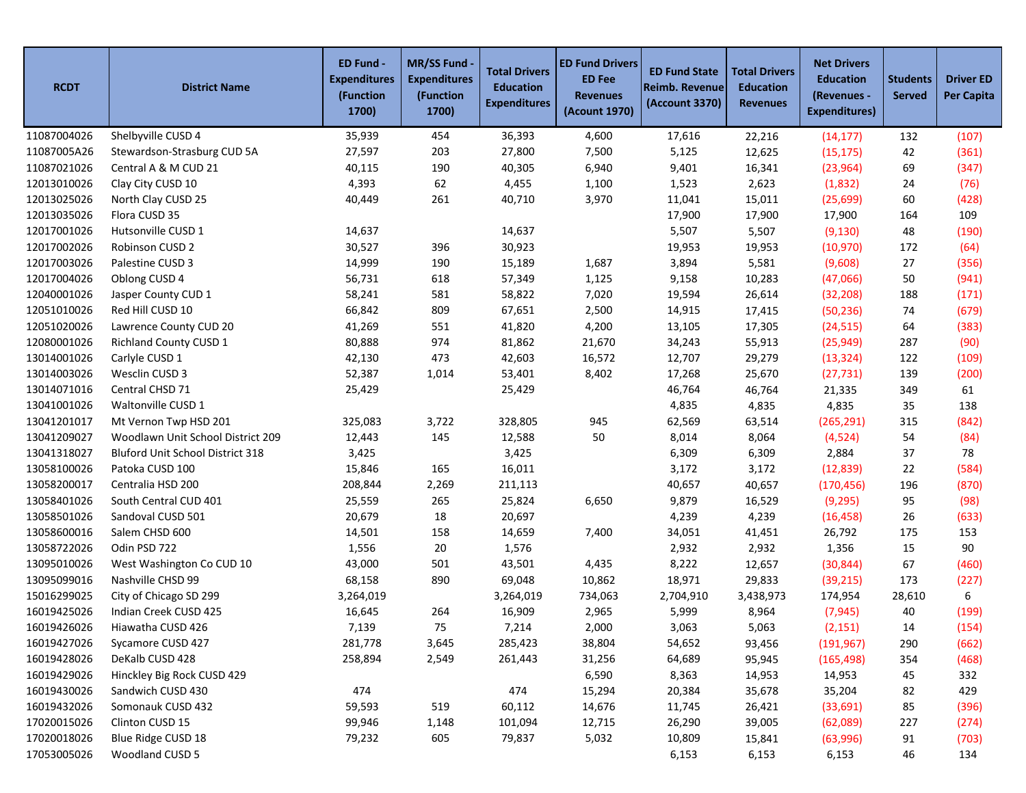| <b>RCDT</b> | <b>District Name</b>                    | ED Fund -<br><b>Expenditures</b><br>(Function<br>1700) | <b>MR/SS Fund</b><br><b>Expenditures</b><br>(Function<br>1700) | <b>Total Drivers</b><br><b>Education</b><br><b>Expenditures</b> | <b>ED Fund Drivers</b><br><b>ED Fee</b><br><b>Revenues</b><br>(Acount 1970) | <b>ED Fund State</b><br><b>Reimb. Revenue</b><br>(Account 3370) | <b>Total Drivers</b><br><b>Education</b><br><b>Revenues</b> | <b>Net Drivers</b><br><b>Education</b><br>(Revenues -<br><b>Expenditures)</b> | <b>Students</b><br><b>Served</b> | <b>Driver ED</b><br><b>Per Capita</b> |
|-------------|-----------------------------------------|--------------------------------------------------------|----------------------------------------------------------------|-----------------------------------------------------------------|-----------------------------------------------------------------------------|-----------------------------------------------------------------|-------------------------------------------------------------|-------------------------------------------------------------------------------|----------------------------------|---------------------------------------|
| 11087004026 | Shelbyville CUSD 4                      | 35,939                                                 | 454                                                            | 36,393                                                          | 4,600                                                                       | 17,616                                                          | 22,216                                                      | (14, 177)                                                                     | 132                              | (107)                                 |
| 11087005A26 | Stewardson-Strasburg CUD 5A             | 27,597                                                 | 203                                                            | 27,800                                                          | 7,500                                                                       | 5,125                                                           | 12,625                                                      | (15, 175)                                                                     | 42                               | (361)                                 |
| 11087021026 | Central A & M CUD 21                    | 40,115                                                 | 190                                                            | 40,305                                                          | 6,940                                                                       | 9,401                                                           | 16,341                                                      | (23, 964)                                                                     | 69                               | (347)                                 |
| 12013010026 | Clay City CUSD 10                       | 4,393                                                  | 62                                                             | 4,455                                                           | 1,100                                                                       | 1,523                                                           | 2,623                                                       | (1,832)                                                                       | 24                               | (76)                                  |
| 12013025026 | North Clay CUSD 25                      | 40,449                                                 | 261                                                            | 40,710                                                          | 3,970                                                                       | 11,041                                                          | 15,011                                                      | (25, 699)                                                                     | 60                               | (428)                                 |
| 12013035026 | Flora CUSD 35                           |                                                        |                                                                |                                                                 |                                                                             | 17,900                                                          | 17,900                                                      | 17,900                                                                        | 164                              | 109                                   |
| 12017001026 | Hutsonville CUSD 1                      | 14,637                                                 |                                                                | 14,637                                                          |                                                                             | 5,507                                                           | 5,507                                                       | (9, 130)                                                                      | 48                               | (190)                                 |
| 12017002026 | Robinson CUSD 2                         | 30,527                                                 | 396                                                            | 30,923                                                          |                                                                             | 19,953                                                          | 19,953                                                      | (10, 970)                                                                     | 172                              | (64)                                  |
| 12017003026 | Palestine CUSD 3                        | 14,999                                                 | 190                                                            | 15,189                                                          | 1,687                                                                       | 3,894                                                           | 5,581                                                       | (9,608)                                                                       | 27                               | (356)                                 |
| 12017004026 | Oblong CUSD 4                           | 56,731                                                 | 618                                                            | 57,349                                                          | 1,125                                                                       | 9,158                                                           | 10,283                                                      | (47,066)                                                                      | 50                               | (941)                                 |
| 12040001026 | Jasper County CUD 1                     | 58,241                                                 | 581                                                            | 58,822                                                          | 7,020                                                                       | 19,594                                                          | 26,614                                                      | (32, 208)                                                                     | 188                              | (171)                                 |
| 12051010026 | Red Hill CUSD 10                        | 66,842                                                 | 809                                                            | 67,651                                                          | 2,500                                                                       | 14,915                                                          | 17,415                                                      | (50, 236)                                                                     | 74                               | (679)                                 |
| 12051020026 | Lawrence County CUD 20                  | 41,269                                                 | 551                                                            | 41,820                                                          | 4,200                                                                       | 13,105                                                          | 17,305                                                      | (24, 515)                                                                     | 64                               | (383)                                 |
| 12080001026 | <b>Richland County CUSD 1</b>           | 80,888                                                 | 974                                                            | 81,862                                                          | 21,670                                                                      | 34,243                                                          | 55,913                                                      | (25, 949)                                                                     | 287                              | (90)                                  |
| 13014001026 | Carlyle CUSD 1                          | 42,130                                                 | 473                                                            | 42,603                                                          | 16,572                                                                      | 12,707                                                          | 29,279                                                      | (13, 324)                                                                     | 122                              | (109)                                 |
| 13014003026 | Wesclin CUSD 3                          | 52,387                                                 | 1,014                                                          | 53,401                                                          | 8,402                                                                       | 17,268                                                          | 25,670                                                      | (27, 731)                                                                     | 139                              | (200)                                 |
| 13014071016 | Central CHSD 71                         | 25,429                                                 |                                                                | 25,429                                                          |                                                                             | 46,764                                                          | 46,764                                                      | 21,335                                                                        | 349                              | 61                                    |
| 13041001026 | Waltonville CUSD 1                      |                                                        |                                                                |                                                                 |                                                                             | 4,835                                                           | 4,835                                                       | 4,835                                                                         | 35                               | 138                                   |
| 13041201017 | Mt Vernon Twp HSD 201                   | 325,083                                                | 3,722                                                          | 328,805                                                         | 945                                                                         | 62,569                                                          | 63,514                                                      | (265, 291)                                                                    | 315                              | (842)                                 |
| 13041209027 | Woodlawn Unit School District 209       | 12,443                                                 | 145                                                            | 12,588                                                          | 50                                                                          | 8,014                                                           | 8,064                                                       | (4,524)                                                                       | 54                               | (84)                                  |
| 13041318027 | <b>Bluford Unit School District 318</b> | 3,425                                                  |                                                                | 3,425                                                           |                                                                             | 6,309                                                           | 6,309                                                       | 2,884                                                                         | 37                               | 78                                    |
| 13058100026 | Patoka CUSD 100                         | 15,846                                                 | 165                                                            | 16,011                                                          |                                                                             | 3,172                                                           | 3,172                                                       | (12, 839)                                                                     | 22                               | (584)                                 |
| 13058200017 | Centralia HSD 200                       | 208,844                                                | 2,269                                                          | 211,113                                                         |                                                                             | 40,657                                                          | 40,657                                                      | (170, 456)                                                                    | 196                              | (870)                                 |
| 13058401026 | South Central CUD 401                   | 25,559                                                 | 265                                                            | 25,824                                                          | 6,650                                                                       | 9,879                                                           | 16,529                                                      | (9, 295)                                                                      | 95                               | (98)                                  |
| 13058501026 | Sandoval CUSD 501                       | 20,679                                                 | 18                                                             | 20,697                                                          |                                                                             | 4,239                                                           | 4,239                                                       | (16, 458)                                                                     | 26                               | (633)                                 |
| 13058600016 | Salem CHSD 600                          | 14,501                                                 | 158                                                            | 14,659                                                          | 7,400                                                                       | 34,051                                                          | 41,451                                                      | 26,792                                                                        | 175                              | 153                                   |
| 13058722026 | Odin PSD 722                            | 1,556                                                  | 20                                                             | 1,576                                                           |                                                                             | 2,932                                                           | 2,932                                                       | 1,356                                                                         | 15                               | 90                                    |
| 13095010026 | West Washington Co CUD 10               | 43,000                                                 | 501                                                            | 43,501                                                          | 4,435                                                                       | 8,222                                                           | 12,657                                                      | (30, 844)                                                                     | 67                               | (460)                                 |
| 13095099016 | Nashville CHSD 99                       | 68,158                                                 | 890                                                            | 69,048                                                          | 10,862                                                                      | 18,971                                                          | 29,833                                                      | (39, 215)                                                                     | 173                              | (227)                                 |
| 15016299025 | City of Chicago SD 299                  | 3,264,019                                              |                                                                | 3,264,019                                                       | 734,063                                                                     | 2,704,910                                                       | 3,438,973                                                   | 174,954                                                                       | 28,610                           | 6                                     |
| 16019425026 | Indian Creek CUSD 425                   | 16,645                                                 | 264                                                            | 16,909                                                          | 2,965                                                                       | 5,999                                                           | 8,964                                                       | (7, 945)                                                                      | 40                               | (199)                                 |
| 16019426026 | Hiawatha CUSD 426                       | 7,139                                                  | 75                                                             | 7,214                                                           | 2,000                                                                       | 3,063                                                           | 5,063                                                       | (2, 151)                                                                      | 14                               | (154)                                 |
| 16019427026 | Sycamore CUSD 427                       | 281,778                                                | 3,645                                                          | 285,423                                                         | 38,804                                                                      | 54,652                                                          | 93,456                                                      | (191, 967)                                                                    | 290                              | (662)                                 |
| 16019428026 | DeKalb CUSD 428                         | 258,894                                                | 2,549                                                          | 261,443                                                         | 31,256                                                                      | 64,689                                                          | 95,945                                                      | (165, 498)                                                                    | 354                              | (468)                                 |
| 16019429026 | Hinckley Big Rock CUSD 429              |                                                        |                                                                |                                                                 | 6,590                                                                       | 8,363                                                           | 14,953                                                      | 14,953                                                                        | 45                               | 332                                   |
| 16019430026 | Sandwich CUSD 430                       | 474                                                    |                                                                | 474                                                             | 15,294                                                                      | 20,384                                                          | 35,678                                                      | 35,204                                                                        | 82                               | 429                                   |
| 16019432026 | Somonauk CUSD 432                       | 59,593                                                 | 519                                                            | 60,112                                                          | 14,676                                                                      | 11,745                                                          | 26,421                                                      | (33, 691)                                                                     | 85                               | (396)                                 |
| 17020015026 | Clinton CUSD 15                         | 99,946                                                 | 1,148                                                          | 101,094                                                         | 12,715                                                                      | 26,290                                                          | 39,005                                                      | (62,089)                                                                      | 227                              | (274)                                 |
| 17020018026 | Blue Ridge CUSD 18                      | 79,232                                                 | 605                                                            | 79,837                                                          | 5,032                                                                       | 10,809                                                          | 15,841                                                      | (63,996)                                                                      | 91                               | (703)                                 |
| 17053005026 | Woodland CUSD 5                         |                                                        |                                                                |                                                                 |                                                                             | 6,153                                                           | 6,153                                                       | 6,153                                                                         | 46                               | 134                                   |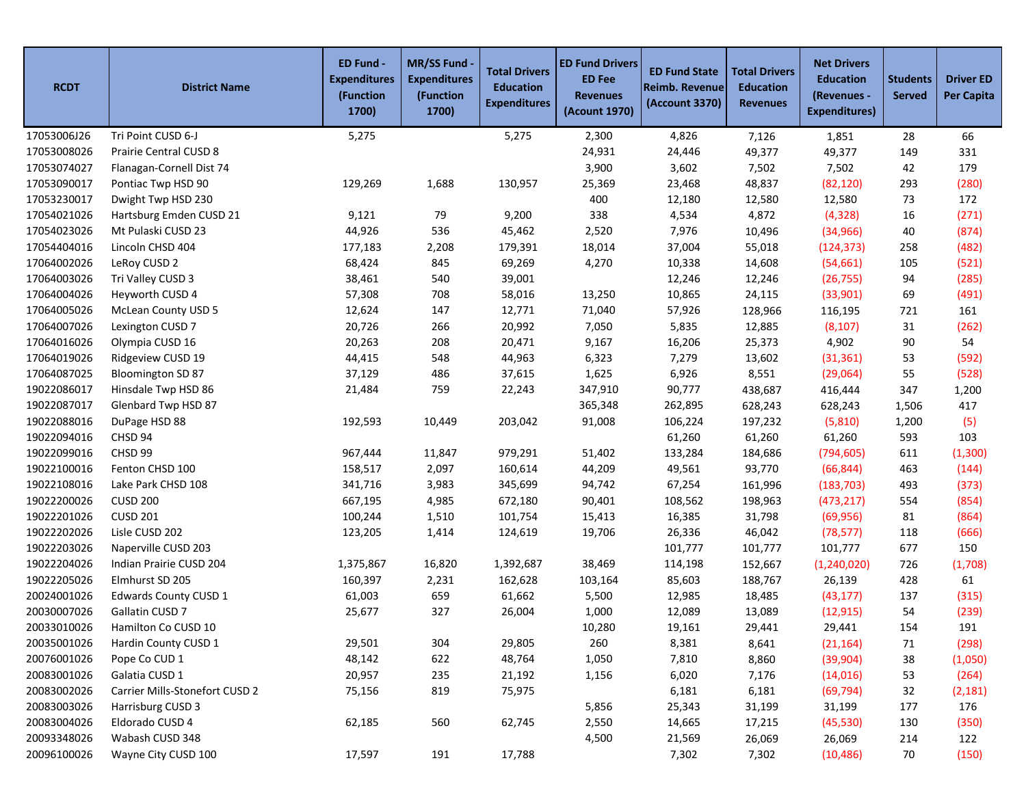| <b>RCDT</b> | <b>District Name</b>           | ED Fund -<br><b>Expenditures</b><br>(Function<br>1700) | <b>MR/SS Fund</b><br><b>Expenditures</b><br>(Function<br>1700) | <b>Total Drivers</b><br><b>Education</b><br><b>Expenditures</b> | <b>ED Fund Drivers</b><br><b>ED Fee</b><br><b>Revenues</b><br>(Acount 1970) | <b>ED Fund State</b><br><b>Reimb. Revenue</b><br>(Account 3370) | <b>Total Drivers</b><br><b>Education</b><br><b>Revenues</b> | <b>Net Drivers</b><br><b>Education</b><br>(Revenues -<br><b>Expenditures)</b> | <b>Students</b><br><b>Served</b> | <b>Driver ED</b><br><b>Per Capita</b> |
|-------------|--------------------------------|--------------------------------------------------------|----------------------------------------------------------------|-----------------------------------------------------------------|-----------------------------------------------------------------------------|-----------------------------------------------------------------|-------------------------------------------------------------|-------------------------------------------------------------------------------|----------------------------------|---------------------------------------|
| 17053006J26 | Tri Point CUSD 6-J             | 5,275                                                  |                                                                | 5,275                                                           | 2,300                                                                       | 4,826                                                           | 7,126                                                       | 1,851                                                                         | 28                               | 66                                    |
| 17053008026 | Prairie Central CUSD 8         |                                                        |                                                                |                                                                 | 24,931                                                                      | 24,446                                                          | 49,377                                                      | 49,377                                                                        | 149                              | 331                                   |
| 17053074027 | Flanagan-Cornell Dist 74       |                                                        |                                                                |                                                                 | 3,900                                                                       | 3,602                                                           | 7,502                                                       | 7,502                                                                         | 42                               | 179                                   |
| 17053090017 | Pontiac Twp HSD 90             | 129,269                                                | 1,688                                                          | 130,957                                                         | 25,369                                                                      | 23,468                                                          | 48,837                                                      | (82, 120)                                                                     | 293                              | (280)                                 |
| 17053230017 | Dwight Twp HSD 230             |                                                        |                                                                |                                                                 | 400                                                                         | 12,180                                                          | 12,580                                                      | 12,580                                                                        | 73                               | 172                                   |
| 17054021026 | Hartsburg Emden CUSD 21        | 9,121                                                  | 79                                                             | 9,200                                                           | 338                                                                         | 4,534                                                           | 4,872                                                       | (4,328)                                                                       | 16                               | (271)                                 |
| 17054023026 | Mt Pulaski CUSD 23             | 44,926                                                 | 536                                                            | 45,462                                                          | 2,520                                                                       | 7,976                                                           | 10,496                                                      | (34, 966)                                                                     | 40                               | (874)                                 |
| 17054404016 | Lincoln CHSD 404               | 177,183                                                | 2,208                                                          | 179,391                                                         | 18,014                                                                      | 37,004                                                          | 55,018                                                      | (124, 373)                                                                    | 258                              | (482)                                 |
| 17064002026 | LeRoy CUSD 2                   | 68,424                                                 | 845                                                            | 69,269                                                          | 4,270                                                                       | 10,338                                                          | 14,608                                                      | (54, 661)                                                                     | 105                              | (521)                                 |
| 17064003026 | Tri Valley CUSD 3              | 38,461                                                 | 540                                                            | 39,001                                                          |                                                                             | 12,246                                                          | 12,246                                                      | (26, 755)                                                                     | 94                               | (285)                                 |
| 17064004026 | Heyworth CUSD 4                | 57,308                                                 | 708                                                            | 58,016                                                          | 13,250                                                                      | 10,865                                                          | 24,115                                                      | (33,901)                                                                      | 69                               | (491)                                 |
| 17064005026 | <b>McLean County USD 5</b>     | 12,624                                                 | 147                                                            | 12,771                                                          | 71,040                                                                      | 57,926                                                          | 128,966                                                     | 116,195                                                                       | 721                              | 161                                   |
| 17064007026 | Lexington CUSD 7               | 20,726                                                 | 266                                                            | 20,992                                                          | 7,050                                                                       | 5,835                                                           | 12,885                                                      | (8, 107)                                                                      | 31                               | (262)                                 |
| 17064016026 | Olympia CUSD 16                | 20,263                                                 | 208                                                            | 20,471                                                          | 9,167                                                                       | 16,206                                                          | 25,373                                                      | 4,902                                                                         | 90                               | 54                                    |
| 17064019026 | Ridgeview CUSD 19              | 44,415                                                 | 548                                                            | 44,963                                                          | 6,323                                                                       | 7,279                                                           | 13,602                                                      | (31, 361)                                                                     | 53                               | (592)                                 |
| 17064087025 | Bloomington SD 87              | 37,129                                                 | 486                                                            | 37,615                                                          | 1,625                                                                       | 6,926                                                           | 8,551                                                       | (29,064)                                                                      | 55                               | (528)                                 |
| 19022086017 | Hinsdale Twp HSD 86            | 21,484                                                 | 759                                                            | 22,243                                                          | 347,910                                                                     | 90,777                                                          | 438,687                                                     | 416,444                                                                       | 347                              | 1,200                                 |
| 19022087017 | Glenbard Twp HSD 87            |                                                        |                                                                |                                                                 | 365,348                                                                     | 262,895                                                         | 628,243                                                     | 628,243                                                                       | 1,506                            | 417                                   |
| 19022088016 | DuPage HSD 88                  | 192,593                                                | 10,449                                                         | 203,042                                                         | 91,008                                                                      | 106,224                                                         | 197,232                                                     | (5,810)                                                                       | 1,200                            | (5)                                   |
| 19022094016 | CHSD 94                        |                                                        |                                                                |                                                                 |                                                                             | 61,260                                                          | 61,260                                                      | 61,260                                                                        | 593                              | 103                                   |
| 19022099016 | CHSD 99                        | 967,444                                                | 11,847                                                         | 979,291                                                         | 51,402                                                                      | 133,284                                                         | 184,686                                                     | (794, 605)                                                                    | 611                              | (1, 300)                              |
| 19022100016 | Fenton CHSD 100                | 158,517                                                | 2,097                                                          | 160,614                                                         | 44,209                                                                      | 49,561                                                          | 93,770                                                      | (66, 844)                                                                     | 463                              | (144)                                 |
| 19022108016 | Lake Park CHSD 108             | 341,716                                                | 3,983                                                          | 345,699                                                         | 94,742                                                                      | 67,254                                                          | 161,996                                                     | (183, 703)                                                                    | 493                              | (373)                                 |
| 19022200026 | <b>CUSD 200</b>                | 667,195                                                | 4,985                                                          | 672,180                                                         | 90,401                                                                      | 108,562                                                         | 198,963                                                     | (473, 217)                                                                    | 554                              | (854)                                 |
| 19022201026 | <b>CUSD 201</b>                | 100,244                                                | 1,510                                                          | 101,754                                                         | 15,413                                                                      | 16,385                                                          | 31,798                                                      | (69, 956)                                                                     | 81                               | (864)                                 |
| 19022202026 | Lisle CUSD 202                 | 123,205                                                | 1,414                                                          | 124,619                                                         | 19,706                                                                      | 26,336                                                          | 46,042                                                      | (78, 577)                                                                     | 118                              | (666)                                 |
| 19022203026 | Naperville CUSD 203            |                                                        |                                                                |                                                                 |                                                                             | 101,777                                                         | 101,777                                                     | 101,777                                                                       | 677                              | 150                                   |
| 19022204026 | Indian Prairie CUSD 204        | 1,375,867                                              | 16,820                                                         | 1,392,687                                                       | 38,469                                                                      | 114,198                                                         | 152,667                                                     | (1, 240, 020)                                                                 | 726                              | (1,708)                               |
| 19022205026 | Elmhurst SD 205                | 160,397                                                | 2,231                                                          | 162,628                                                         | 103,164                                                                     | 85,603                                                          | 188,767                                                     | 26,139                                                                        | 428                              | 61                                    |
| 20024001026 | Edwards County CUSD 1          | 61,003                                                 | 659                                                            | 61,662                                                          | 5,500                                                                       | 12,985                                                          | 18,485                                                      | (43, 177)                                                                     | 137                              | (315)                                 |
| 20030007026 | Gallatin CUSD 7                | 25,677                                                 | 327                                                            | 26,004                                                          | 1,000                                                                       | 12,089                                                          | 13,089                                                      | (12, 915)                                                                     | 54                               | (239)                                 |
| 20033010026 | Hamilton Co CUSD 10            |                                                        |                                                                |                                                                 | 10,280                                                                      | 19,161                                                          | 29,441                                                      | 29,441                                                                        | 154                              | 191                                   |
| 20035001026 | Hardin County CUSD 1           | 29,501                                                 | 304                                                            | 29,805                                                          | 260                                                                         | 8,381                                                           | 8,641                                                       | (21, 164)                                                                     | 71                               | (298)                                 |
| 20076001026 | Pope Co CUD 1                  | 48,142                                                 | 622                                                            | 48,764                                                          | 1,050                                                                       | 7,810                                                           | 8,860                                                       | (39, 904)                                                                     | 38                               | (1,050)                               |
| 20083001026 | Galatia CUSD 1                 | 20,957                                                 | 235                                                            | 21,192                                                          | 1,156                                                                       | 6,020                                                           | 7,176                                                       | (14, 016)                                                                     | 53                               | (264)                                 |
| 20083002026 | Carrier Mills-Stonefort CUSD 2 | 75,156                                                 | 819                                                            | 75,975                                                          |                                                                             | 6,181                                                           | 6,181                                                       | (69, 794)                                                                     | 32                               | (2, 181)                              |
| 20083003026 | Harrisburg CUSD 3              |                                                        |                                                                |                                                                 | 5,856                                                                       | 25,343                                                          | 31,199                                                      | 31,199                                                                        | 177                              | 176                                   |
| 20083004026 | Eldorado CUSD 4                | 62,185                                                 | 560                                                            | 62,745                                                          | 2,550                                                                       | 14,665                                                          | 17,215                                                      | (45, 530)                                                                     | 130                              | (350)                                 |
| 20093348026 | Wabash CUSD 348                |                                                        |                                                                |                                                                 | 4,500                                                                       | 21,569                                                          | 26,069                                                      | 26,069                                                                        | 214                              | 122                                   |
| 20096100026 | Wayne City CUSD 100            | 17,597                                                 | 191                                                            | 17,788                                                          |                                                                             | 7,302                                                           | 7,302                                                       | (10, 486)                                                                     | 70                               | (150)                                 |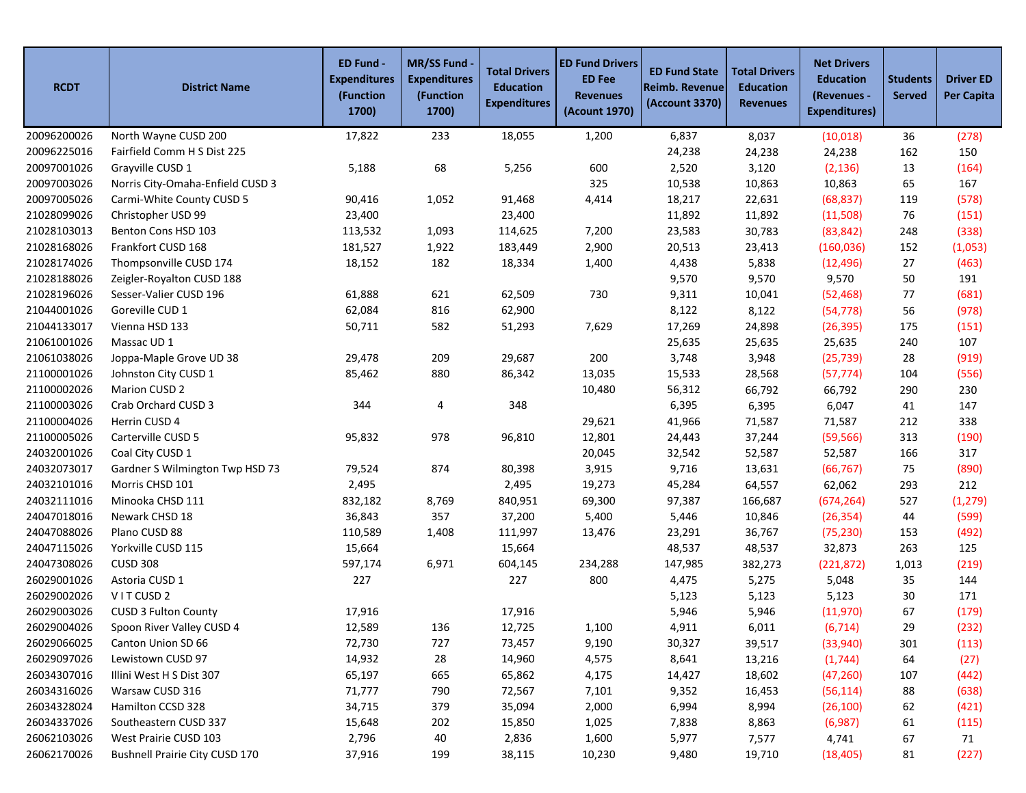| <b>RCDT</b> | <b>District Name</b>             | ED Fund -<br><b>Expenditures</b><br>(Function<br>1700) | <b>MR/SS Fund</b><br><b>Expenditures</b><br>(Function<br>1700) | <b>Total Drivers</b><br><b>Education</b><br><b>Expenditures</b> | <b>ED Fund Drivers</b><br><b>ED Fee</b><br><b>Revenues</b><br>(Acount 1970) | <b>ED Fund State</b><br><b>Reimb. Revenue</b><br>(Account 3370) | <b>Total Drivers</b><br><b>Education</b><br><b>Revenues</b> | <b>Net Drivers</b><br><b>Education</b><br>(Revenues -<br><b>Expenditures)</b> | <b>Students</b><br><b>Served</b> | <b>Driver ED</b><br><b>Per Capita</b> |
|-------------|----------------------------------|--------------------------------------------------------|----------------------------------------------------------------|-----------------------------------------------------------------|-----------------------------------------------------------------------------|-----------------------------------------------------------------|-------------------------------------------------------------|-------------------------------------------------------------------------------|----------------------------------|---------------------------------------|
| 20096200026 | North Wayne CUSD 200             | 17,822                                                 | 233                                                            | 18,055                                                          | 1,200                                                                       | 6,837                                                           | 8,037                                                       | (10, 018)                                                                     | 36                               | (278)                                 |
| 20096225016 | Fairfield Comm H S Dist 225      |                                                        |                                                                |                                                                 |                                                                             | 24,238                                                          | 24,238                                                      | 24,238                                                                        | 162                              | 150                                   |
| 20097001026 | Grayville CUSD 1                 | 5,188                                                  | 68                                                             | 5,256                                                           | 600                                                                         | 2,520                                                           | 3,120                                                       | (2, 136)                                                                      | 13                               | (164)                                 |
| 20097003026 | Norris City-Omaha-Enfield CUSD 3 |                                                        |                                                                |                                                                 | 325                                                                         | 10,538                                                          | 10,863                                                      | 10,863                                                                        | 65                               | 167                                   |
| 20097005026 | Carmi-White County CUSD 5        | 90,416                                                 | 1,052                                                          | 91,468                                                          | 4,414                                                                       | 18,217                                                          | 22,631                                                      | (68, 837)                                                                     | 119                              | (578)                                 |
| 21028099026 | Christopher USD 99               | 23,400                                                 |                                                                | 23,400                                                          |                                                                             | 11,892                                                          | 11,892                                                      | (11,508)                                                                      | 76                               | (151)                                 |
| 21028103013 | Benton Cons HSD 103              | 113,532                                                | 1,093                                                          | 114,625                                                         | 7,200                                                                       | 23,583                                                          | 30,783                                                      | (83, 842)                                                                     | 248                              | (338)                                 |
| 21028168026 | Frankfort CUSD 168               | 181,527                                                | 1,922                                                          | 183,449                                                         | 2,900                                                                       | 20,513                                                          | 23,413                                                      | (160, 036)                                                                    | 152                              | (1,053)                               |
| 21028174026 | Thompsonville CUSD 174           | 18,152                                                 | 182                                                            | 18,334                                                          | 1,400                                                                       | 4,438                                                           | 5,838                                                       | (12, 496)                                                                     | 27                               | (463)                                 |
| 21028188026 | Zeigler-Royalton CUSD 188        |                                                        |                                                                |                                                                 |                                                                             | 9,570                                                           | 9,570                                                       | 9,570                                                                         | 50                               | 191                                   |
| 21028196026 | Sesser-Valier CUSD 196           | 61,888                                                 | 621                                                            | 62,509                                                          | 730                                                                         | 9,311                                                           | 10,041                                                      | (52, 468)                                                                     | 77                               | (681)                                 |
| 21044001026 | Goreville CUD 1                  | 62,084                                                 | 816                                                            | 62,900                                                          |                                                                             | 8,122                                                           | 8,122                                                       | (54, 778)                                                                     | 56                               | (978)                                 |
| 21044133017 | Vienna HSD 133                   | 50,711                                                 | 582                                                            | 51,293                                                          | 7,629                                                                       | 17,269                                                          | 24,898                                                      | (26, 395)                                                                     | 175                              | (151)                                 |
| 21061001026 | Massac UD 1                      |                                                        |                                                                |                                                                 |                                                                             | 25,635                                                          | 25,635                                                      | 25,635                                                                        | 240                              | 107                                   |
| 21061038026 | Joppa-Maple Grove UD 38          | 29,478                                                 | 209                                                            | 29,687                                                          | 200                                                                         | 3,748                                                           | 3,948                                                       | (25, 739)                                                                     | 28                               | (919)                                 |
| 21100001026 | Johnston City CUSD 1             | 85,462                                                 | 880                                                            | 86,342                                                          | 13,035                                                                      | 15,533                                                          | 28,568                                                      | (57, 774)                                                                     | 104                              | (556)                                 |
| 21100002026 | Marion CUSD 2                    |                                                        |                                                                |                                                                 | 10,480                                                                      | 56,312                                                          | 66,792                                                      | 66,792                                                                        | 290                              | 230                                   |
| 21100003026 | Crab Orchard CUSD 3              | 344                                                    | 4                                                              | 348                                                             |                                                                             | 6,395                                                           | 6,395                                                       | 6,047                                                                         | 41                               | 147                                   |
| 21100004026 | Herrin CUSD 4                    |                                                        |                                                                |                                                                 | 29,621                                                                      | 41,966                                                          | 71,587                                                      | 71,587                                                                        | 212                              | 338                                   |
| 21100005026 | Carterville CUSD 5               | 95,832                                                 | 978                                                            | 96,810                                                          | 12,801                                                                      | 24,443                                                          | 37,244                                                      | (59, 566)                                                                     | 313                              | (190)                                 |
| 24032001026 | Coal City CUSD 1                 |                                                        |                                                                |                                                                 | 20,045                                                                      | 32,542                                                          | 52,587                                                      | 52,587                                                                        | 166                              | 317                                   |
| 24032073017 | Gardner S Wilmington Twp HSD 73  | 79,524                                                 | 874                                                            | 80,398                                                          | 3,915                                                                       | 9,716                                                           | 13,631                                                      | (66, 767)                                                                     | 75                               | (890)                                 |
| 24032101016 | Morris CHSD 101                  | 2,495                                                  |                                                                | 2,495                                                           | 19,273                                                                      | 45,284                                                          | 64,557                                                      | 62,062                                                                        | 293                              | 212                                   |
| 24032111016 | Minooka CHSD 111                 | 832,182                                                | 8,769                                                          | 840,951                                                         | 69,300                                                                      | 97,387                                                          | 166,687                                                     | (674, 264)                                                                    | 527                              | (1, 279)                              |
| 24047018016 | Newark CHSD 18                   | 36,843                                                 | 357                                                            | 37,200                                                          | 5,400                                                                       | 5,446                                                           | 10,846                                                      | (26, 354)                                                                     | 44                               | (599)                                 |
| 24047088026 | Plano CUSD 88                    | 110,589                                                | 1,408                                                          | 111,997                                                         | 13,476                                                                      | 23,291                                                          | 36,767                                                      | (75, 230)                                                                     | 153                              | (492)                                 |
| 24047115026 | Yorkville CUSD 115               | 15,664                                                 |                                                                | 15,664                                                          |                                                                             | 48,537                                                          | 48,537                                                      | 32,873                                                                        | 263                              | 125                                   |
| 24047308026 | <b>CUSD 308</b>                  | 597,174                                                | 6,971                                                          | 604,145                                                         | 234,288                                                                     | 147,985                                                         | 382,273                                                     | (221, 872)                                                                    | 1,013                            | (219)                                 |
| 26029001026 | Astoria CUSD 1                   | 227                                                    |                                                                | 227                                                             | 800                                                                         | 4,475                                                           | 5,275                                                       | 5,048                                                                         | 35                               | 144                                   |
| 26029002026 | VITCUSD <sub>2</sub>             |                                                        |                                                                |                                                                 |                                                                             | 5,123                                                           | 5,123                                                       | 5,123                                                                         | 30                               | 171                                   |
| 26029003026 | CUSD 3 Fulton County             | 17,916                                                 |                                                                | 17,916                                                          |                                                                             | 5,946                                                           | 5,946                                                       | (11,970)                                                                      | 67                               | (179)                                 |
| 26029004026 | Spoon River Valley CUSD 4        | 12,589                                                 | 136                                                            | 12,725                                                          | 1,100                                                                       | 4,911                                                           | 6,011                                                       | (6, 714)                                                                      | 29                               | (232)                                 |
| 26029066025 | Canton Union SD 66               | 72,730                                                 | 727                                                            | 73,457                                                          | 9,190                                                                       | 30,327                                                          | 39,517                                                      | (33,940)                                                                      | 301                              | (113)                                 |
| 26029097026 | Lewistown CUSD 97                | 14,932                                                 | 28                                                             | 14,960                                                          | 4,575                                                                       | 8,641                                                           | 13,216                                                      | (1,744)                                                                       | 64                               | (27)                                  |
| 26034307016 | Illini West H S Dist 307         | 65,197                                                 | 665                                                            | 65,862                                                          | 4,175                                                                       | 14,427                                                          | 18,602                                                      | (47, 260)                                                                     | 107                              | (442)                                 |
| 26034316026 | Warsaw CUSD 316                  | 71,777                                                 | 790                                                            | 72,567                                                          | 7,101                                                                       | 9,352                                                           | 16,453                                                      | (56, 114)                                                                     | 88                               | (638)                                 |
| 26034328024 | Hamilton CCSD 328                | 34,715                                                 | 379                                                            | 35,094                                                          | 2,000                                                                       | 6,994                                                           | 8,994                                                       | (26, 100)                                                                     | 62                               | (421)                                 |
| 26034337026 | Southeastern CUSD 337            | 15,648                                                 | 202                                                            | 15,850                                                          | 1,025                                                                       | 7,838                                                           | 8,863                                                       | (6,987)                                                                       | 61                               | (115)                                 |
| 26062103026 | West Prairie CUSD 103            | 2,796                                                  | 40                                                             | 2,836                                                           | 1,600                                                                       | 5,977                                                           | 7,577                                                       | 4,741                                                                         | 67                               | 71                                    |
| 26062170026 | Bushnell Prairie City CUSD 170   | 37,916                                                 | 199                                                            | 38,115                                                          | 10,230                                                                      | 9,480                                                           | 19,710                                                      | (18, 405)                                                                     | 81                               | (227)                                 |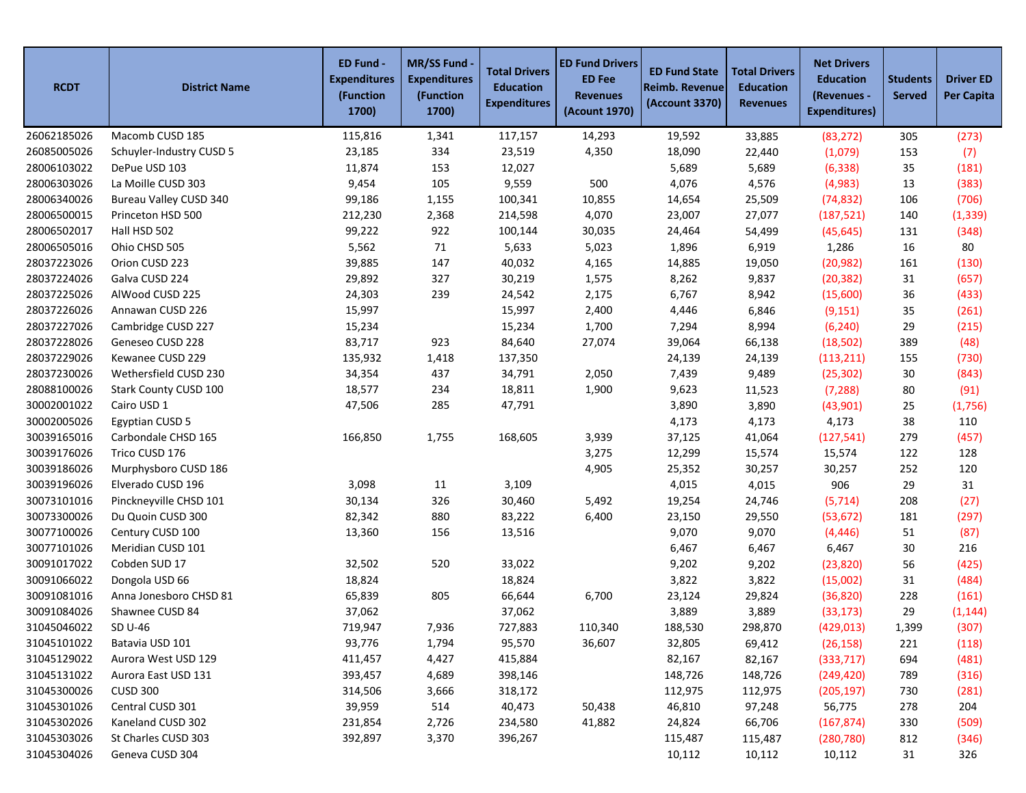| <b>RCDT</b> | <b>District Name</b>     | ED Fund -<br><b>Expenditures</b><br>(Function<br>1700) | <b>MR/SS Fund</b><br><b>Expenditures</b><br>(Function<br>1700) | <b>Total Drivers</b><br><b>Education</b><br><b>Expenditures</b> | <b>ED Fund Drivers</b><br><b>ED Fee</b><br><b>Revenues</b><br>(Acount 1970) | <b>ED Fund State</b><br>Reimb. Revenue<br>(Account 3370) | <b>Total Drivers</b><br><b>Education</b><br><b>Revenues</b> | <b>Net Drivers</b><br><b>Education</b><br>(Revenues -<br><b>Expenditures)</b> | <b>Students</b><br><b>Served</b> | <b>Driver ED</b><br><b>Per Capita</b> |
|-------------|--------------------------|--------------------------------------------------------|----------------------------------------------------------------|-----------------------------------------------------------------|-----------------------------------------------------------------------------|----------------------------------------------------------|-------------------------------------------------------------|-------------------------------------------------------------------------------|----------------------------------|---------------------------------------|
| 26062185026 | Macomb CUSD 185          | 115,816                                                | 1,341                                                          | 117,157                                                         | 14,293                                                                      | 19,592                                                   | 33,885                                                      | (83, 272)                                                                     | 305                              | (273)                                 |
| 26085005026 | Schuyler-Industry CUSD 5 | 23,185                                                 | 334                                                            | 23,519                                                          | 4,350                                                                       | 18,090                                                   | 22,440                                                      | (1,079)                                                                       | 153                              | (7)                                   |
| 28006103022 | DePue USD 103            | 11,874                                                 | 153                                                            | 12,027                                                          |                                                                             | 5,689                                                    | 5,689                                                       | (6, 338)                                                                      | 35                               | (181)                                 |
| 28006303026 | La Moille CUSD 303       | 9,454                                                  | 105                                                            | 9,559                                                           | 500                                                                         | 4,076                                                    | 4,576                                                       | (4,983)                                                                       | 13                               | (383)                                 |
| 28006340026 | Bureau Valley CUSD 340   | 99,186                                                 | 1,155                                                          | 100,341                                                         | 10,855                                                                      | 14,654                                                   | 25,509                                                      | (74, 832)                                                                     | 106                              | (706)                                 |
| 28006500015 | Princeton HSD 500        | 212,230                                                | 2,368                                                          | 214,598                                                         | 4,070                                                                       | 23,007                                                   | 27,077                                                      | (187, 521)                                                                    | 140                              | (1, 339)                              |
| 28006502017 | Hall HSD 502             | 99,222                                                 | 922                                                            | 100,144                                                         | 30,035                                                                      | 24,464                                                   | 54,499                                                      | (45, 645)                                                                     | 131                              | (348)                                 |
| 28006505016 | Ohio CHSD 505            | 5,562                                                  | 71                                                             | 5,633                                                           | 5,023                                                                       | 1,896                                                    | 6,919                                                       | 1,286                                                                         | 16                               | 80                                    |
| 28037223026 | Orion CUSD 223           | 39,885                                                 | 147                                                            | 40,032                                                          | 4,165                                                                       | 14,885                                                   | 19,050                                                      | (20, 982)                                                                     | 161                              | (130)                                 |
| 28037224026 | Galva CUSD 224           | 29,892                                                 | 327                                                            | 30,219                                                          | 1,575                                                                       | 8,262                                                    | 9,837                                                       | (20, 382)                                                                     | 31                               | (657)                                 |
| 28037225026 | AlWood CUSD 225          | 24,303                                                 | 239                                                            | 24,542                                                          | 2,175                                                                       | 6,767                                                    | 8,942                                                       | (15,600)                                                                      | 36                               | (433)                                 |
| 28037226026 | Annawan CUSD 226         | 15,997                                                 |                                                                | 15,997                                                          | 2,400                                                                       | 4,446                                                    | 6,846                                                       | (9, 151)                                                                      | 35                               | (261)                                 |
| 28037227026 | Cambridge CUSD 227       | 15,234                                                 |                                                                | 15,234                                                          | 1,700                                                                       | 7,294                                                    | 8,994                                                       | (6, 240)                                                                      | 29                               | (215)                                 |
| 28037228026 | Geneseo CUSD 228         | 83,717                                                 | 923                                                            | 84,640                                                          | 27,074                                                                      | 39,064                                                   | 66,138                                                      | (18, 502)                                                                     | 389                              | (48)                                  |
| 28037229026 | Kewanee CUSD 229         | 135,932                                                | 1,418                                                          | 137,350                                                         |                                                                             | 24,139                                                   | 24,139                                                      | (113, 211)                                                                    | 155                              | (730)                                 |
| 28037230026 | Wethersfield CUSD 230    | 34,354                                                 | 437                                                            | 34,791                                                          | 2,050                                                                       | 7,439                                                    | 9,489                                                       | (25, 302)                                                                     | 30                               | (843)                                 |
| 28088100026 | Stark County CUSD 100    | 18,577                                                 | 234                                                            | 18,811                                                          | 1,900                                                                       | 9,623                                                    | 11,523                                                      | (7, 288)                                                                      | 80                               | (91)                                  |
| 30002001022 | Cairo USD 1              | 47,506                                                 | 285                                                            | 47,791                                                          |                                                                             | 3,890                                                    | 3,890                                                       | (43,901)                                                                      | 25                               | (1,756)                               |
| 30002005026 | <b>Egyptian CUSD 5</b>   |                                                        |                                                                |                                                                 |                                                                             | 4,173                                                    | 4,173                                                       | 4,173                                                                         | 38                               | 110                                   |
| 30039165016 | Carbondale CHSD 165      | 166,850                                                | 1,755                                                          | 168,605                                                         | 3,939                                                                       | 37,125                                                   | 41,064                                                      | (127, 541)                                                                    | 279                              | (457)                                 |
| 30039176026 | Trico CUSD 176           |                                                        |                                                                |                                                                 | 3,275                                                                       | 12,299                                                   | 15,574                                                      | 15,574                                                                        | 122                              | 128                                   |
| 30039186026 | Murphysboro CUSD 186     |                                                        |                                                                |                                                                 | 4,905                                                                       | 25,352                                                   | 30,257                                                      | 30,257                                                                        | 252                              | 120                                   |
| 30039196026 | Elverado CUSD 196        | 3,098                                                  | 11                                                             | 3,109                                                           |                                                                             | 4,015                                                    | 4,015                                                       | 906                                                                           | 29                               | 31                                    |
| 30073101016 | Pinckneyville CHSD 101   | 30,134                                                 | 326                                                            | 30,460                                                          | 5,492                                                                       | 19,254                                                   | 24,746                                                      | (5, 714)                                                                      | 208                              | (27)                                  |
| 30073300026 | Du Quoin CUSD 300        | 82,342                                                 | 880                                                            | 83,222                                                          | 6,400                                                                       | 23,150                                                   | 29,550                                                      | (53, 672)                                                                     | 181                              | (297)                                 |
| 30077100026 | Century CUSD 100         | 13,360                                                 | 156                                                            | 13,516                                                          |                                                                             | 9,070                                                    | 9,070                                                       | (4, 446)                                                                      | 51                               | (87)                                  |
| 30077101026 | Meridian CUSD 101        |                                                        |                                                                |                                                                 |                                                                             | 6,467                                                    | 6,467                                                       | 6,467                                                                         | 30                               | 216                                   |
| 30091017022 | Cobden SUD 17            | 32,502                                                 | 520                                                            | 33,022                                                          |                                                                             | 9,202                                                    | 9,202                                                       | (23, 820)                                                                     | 56                               | (425)                                 |
| 30091066022 | Dongola USD 66           | 18,824                                                 |                                                                | 18,824                                                          |                                                                             | 3,822                                                    | 3,822                                                       | (15,002)                                                                      | 31                               | (484)                                 |
| 30091081016 | Anna Jonesboro CHSD 81   | 65,839                                                 | 805                                                            | 66,644                                                          | 6,700                                                                       | 23,124                                                   | 29,824                                                      | (36, 820)                                                                     | 228                              | (161)                                 |
| 30091084026 | Shawnee CUSD 84          | 37,062                                                 |                                                                | 37,062                                                          |                                                                             | 3,889                                                    | 3,889                                                       | (33, 173)                                                                     | 29                               | (1, 144)                              |
| 31045046022 | SD U-46                  | 719,947                                                | 7,936                                                          | 727,883                                                         | 110,340                                                                     | 188,530                                                  | 298,870                                                     | (429, 013)                                                                    | 1,399                            | (307)                                 |
| 31045101022 | Batavia USD 101          | 93,776                                                 | 1,794                                                          | 95,570                                                          | 36,607                                                                      | 32,805                                                   | 69,412                                                      | (26, 158)                                                                     | 221                              | (118)                                 |
| 31045129022 | Aurora West USD 129      | 411,457                                                | 4,427                                                          | 415,884                                                         |                                                                             | 82,167                                                   | 82,167                                                      | (333,717)                                                                     | 694                              | (481)                                 |
| 31045131022 | Aurora East USD 131      | 393,457                                                | 4,689                                                          | 398,146                                                         |                                                                             | 148,726                                                  | 148,726                                                     | (249, 420)                                                                    | 789                              | (316)                                 |
| 31045300026 | <b>CUSD 300</b>          | 314,506                                                | 3,666                                                          | 318,172                                                         |                                                                             | 112,975                                                  | 112,975                                                     | (205, 197)                                                                    | 730                              | (281)                                 |
| 31045301026 | Central CUSD 301         | 39,959                                                 | 514                                                            | 40,473                                                          | 50,438                                                                      | 46,810                                                   | 97,248                                                      | 56,775                                                                        | 278                              | 204                                   |
| 31045302026 | Kaneland CUSD 302        | 231,854                                                | 2,726                                                          | 234,580                                                         | 41,882                                                                      | 24,824                                                   | 66,706                                                      | (167, 874)                                                                    | 330                              | (509)                                 |
| 31045303026 | St Charles CUSD 303      | 392,897                                                | 3,370                                                          | 396,267                                                         |                                                                             | 115,487                                                  | 115,487                                                     | (280, 780)                                                                    | 812                              | (346)                                 |
| 31045304026 | Geneva CUSD 304          |                                                        |                                                                |                                                                 |                                                                             | 10,112                                                   | 10,112                                                      | 10,112                                                                        | 31                               | 326                                   |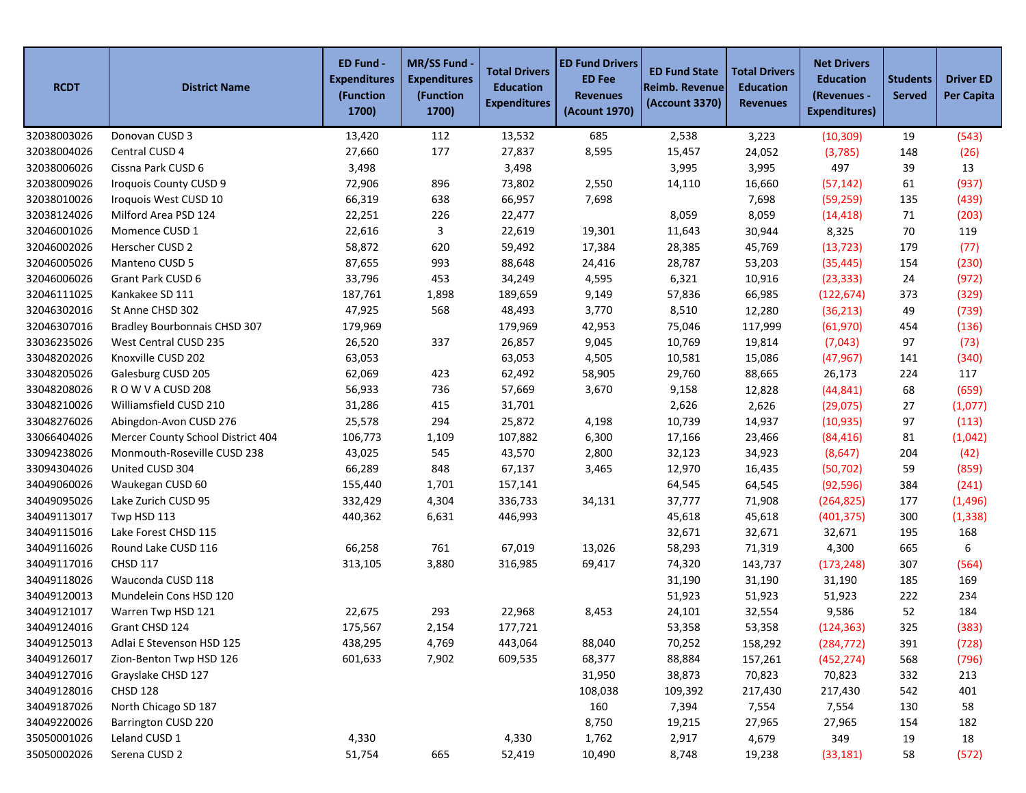| <b>RCDT</b> | <b>District Name</b>                | ED Fund -<br><b>Expenditures</b><br>(Function<br>1700) | <b>MR/SS Fund</b><br><b>Expenditures</b><br>(Function<br>1700) | <b>Total Drivers</b><br><b>Education</b><br><b>Expenditures</b> | <b>ED Fund Drivers</b><br><b>ED Fee</b><br><b>Revenues</b><br>(Acount 1970) | <b>ED Fund State</b><br><b>Reimb. Revenue</b><br>(Account 3370) | <b>Total Drivers</b><br><b>Education</b><br><b>Revenues</b> | <b>Net Drivers</b><br><b>Education</b><br>(Revenues -<br><b>Expenditures)</b> | <b>Students</b><br><b>Served</b> | <b>Driver ED</b><br><b>Per Capita</b> |
|-------------|-------------------------------------|--------------------------------------------------------|----------------------------------------------------------------|-----------------------------------------------------------------|-----------------------------------------------------------------------------|-----------------------------------------------------------------|-------------------------------------------------------------|-------------------------------------------------------------------------------|----------------------------------|---------------------------------------|
| 32038003026 | Donovan CUSD 3                      | 13,420                                                 | 112                                                            | 13,532                                                          | 685                                                                         | 2,538                                                           | 3,223                                                       | (10, 309)                                                                     | 19                               | (543)                                 |
| 32038004026 | Central CUSD 4                      | 27,660                                                 | 177                                                            | 27,837                                                          | 8,595                                                                       | 15,457                                                          | 24,052                                                      | (3,785)                                                                       | 148                              | (26)                                  |
| 32038006026 | Cissna Park CUSD 6                  | 3,498                                                  |                                                                | 3,498                                                           |                                                                             | 3,995                                                           | 3,995                                                       | 497                                                                           | 39                               | 13                                    |
| 32038009026 | Iroquois County CUSD 9              | 72,906                                                 | 896                                                            | 73,802                                                          | 2,550                                                                       | 14,110                                                          | 16,660                                                      | (57, 142)                                                                     | 61                               | (937)                                 |
| 32038010026 | Iroquois West CUSD 10               | 66,319                                                 | 638                                                            | 66,957                                                          | 7,698                                                                       |                                                                 | 7,698                                                       | (59, 259)                                                                     | 135                              | (439)                                 |
| 32038124026 | Milford Area PSD 124                | 22,251                                                 | 226                                                            | 22,477                                                          |                                                                             | 8,059                                                           | 8,059                                                       | (14, 418)                                                                     | 71                               | (203)                                 |
| 32046001026 | Momence CUSD 1                      | 22,616                                                 | 3                                                              | 22,619                                                          | 19,301                                                                      | 11,643                                                          | 30,944                                                      | 8,325                                                                         | 70                               | 119                                   |
| 32046002026 | Herscher CUSD 2                     | 58,872                                                 | 620                                                            | 59,492                                                          | 17,384                                                                      | 28,385                                                          | 45,769                                                      | (13, 723)                                                                     | 179                              | (77)                                  |
| 32046005026 | Manteno CUSD 5                      | 87,655                                                 | 993                                                            | 88,648                                                          | 24,416                                                                      | 28,787                                                          | 53,203                                                      | (35, 445)                                                                     | 154                              | (230)                                 |
| 32046006026 | Grant Park CUSD 6                   | 33,796                                                 | 453                                                            | 34,249                                                          | 4,595                                                                       | 6,321                                                           | 10,916                                                      | (23, 333)                                                                     | 24                               | (972)                                 |
| 32046111025 | Kankakee SD 111                     | 187,761                                                | 1,898                                                          | 189,659                                                         | 9,149                                                                       | 57,836                                                          | 66,985                                                      | (122, 674)                                                                    | 373                              | (329)                                 |
| 32046302016 | St Anne CHSD 302                    | 47,925                                                 | 568                                                            | 48,493                                                          | 3,770                                                                       | 8,510                                                           | 12,280                                                      | (36, 213)                                                                     | 49                               | (739)                                 |
| 32046307016 | <b>Bradley Bourbonnais CHSD 307</b> | 179,969                                                |                                                                | 179,969                                                         | 42,953                                                                      | 75,046                                                          | 117,999                                                     | (61, 970)                                                                     | 454                              | (136)                                 |
| 33036235026 | West Central CUSD 235               | 26,520                                                 | 337                                                            | 26,857                                                          | 9,045                                                                       | 10,769                                                          | 19,814                                                      | (7,043)                                                                       | 97                               | (73)                                  |
| 33048202026 | Knoxville CUSD 202                  | 63,053                                                 |                                                                | 63,053                                                          | 4,505                                                                       | 10,581                                                          | 15,086                                                      | (47, 967)                                                                     | 141                              | (340)                                 |
| 33048205026 | Galesburg CUSD 205                  | 62,069                                                 | 423                                                            | 62,492                                                          | 58,905                                                                      | 29,760                                                          | 88,665                                                      | 26,173                                                                        | 224                              | 117                                   |
| 33048208026 | ROW VACUSD 208                      | 56,933                                                 | 736                                                            | 57,669                                                          | 3,670                                                                       | 9,158                                                           | 12,828                                                      | (44, 841)                                                                     | 68                               | (659)                                 |
| 33048210026 | Williamsfield CUSD 210              | 31,286                                                 | 415                                                            | 31,701                                                          |                                                                             | 2,626                                                           | 2,626                                                       | (29, 075)                                                                     | 27                               | (1,077)                               |
| 33048276026 | Abingdon-Avon CUSD 276              | 25,578                                                 | 294                                                            | 25,872                                                          | 4,198                                                                       | 10,739                                                          | 14,937                                                      | (10, 935)                                                                     | 97                               | (113)                                 |
| 33066404026 | Mercer County School District 404   | 106,773                                                | 1,109                                                          | 107,882                                                         | 6,300                                                                       | 17,166                                                          | 23,466                                                      | (84, 416)                                                                     | 81                               | (1,042)                               |
| 33094238026 | Monmouth-Roseville CUSD 238         | 43,025                                                 | 545                                                            | 43,570                                                          | 2,800                                                                       | 32,123                                                          | 34,923                                                      | (8,647)                                                                       | 204                              | (42)                                  |
| 33094304026 | United CUSD 304                     | 66,289                                                 | 848                                                            | 67,137                                                          | 3,465                                                                       | 12,970                                                          | 16,435                                                      | (50, 702)                                                                     | 59                               | (859)                                 |
| 34049060026 | Waukegan CUSD 60                    | 155,440                                                | 1,701                                                          | 157,141                                                         |                                                                             | 64,545                                                          | 64,545                                                      | (92, 596)                                                                     | 384                              | (241)                                 |
| 34049095026 | Lake Zurich CUSD 95                 | 332,429                                                | 4,304                                                          | 336,733                                                         | 34,131                                                                      | 37,777                                                          | 71,908                                                      | (264, 825)                                                                    | 177                              | (1, 496)                              |
| 34049113017 | Twp HSD 113                         | 440,362                                                | 6,631                                                          | 446,993                                                         |                                                                             | 45,618                                                          | 45,618                                                      | (401, 375)                                                                    | 300                              | (1, 338)                              |
| 34049115016 | Lake Forest CHSD 115                |                                                        |                                                                |                                                                 |                                                                             | 32,671                                                          | 32,671                                                      | 32,671                                                                        | 195                              | 168                                   |
| 34049116026 | Round Lake CUSD 116                 | 66,258                                                 | 761                                                            | 67,019                                                          | 13,026                                                                      | 58,293                                                          | 71,319                                                      | 4,300                                                                         | 665                              | 6                                     |
| 34049117016 | <b>CHSD 117</b>                     | 313,105                                                | 3,880                                                          | 316,985                                                         | 69,417                                                                      | 74,320                                                          | 143,737                                                     | (173, 248)                                                                    | 307                              | (564)                                 |
| 34049118026 | Wauconda CUSD 118                   |                                                        |                                                                |                                                                 |                                                                             | 31,190                                                          | 31,190                                                      | 31,190                                                                        | 185                              | 169                                   |
| 34049120013 | Mundelein Cons HSD 120              |                                                        |                                                                |                                                                 |                                                                             | 51,923                                                          | 51,923                                                      | 51,923                                                                        | 222                              | 234                                   |
| 34049121017 | Warren Twp HSD 121                  | 22,675                                                 | 293                                                            | 22,968                                                          | 8,453                                                                       | 24,101                                                          | 32,554                                                      | 9,586                                                                         | 52                               | 184                                   |
| 34049124016 | Grant CHSD 124                      | 175,567                                                | 2,154                                                          | 177,721                                                         |                                                                             | 53,358                                                          | 53,358                                                      | (124, 363)                                                                    | 325                              | (383)                                 |
| 34049125013 | Adlai E Stevenson HSD 125           | 438,295                                                | 4,769                                                          | 443,064                                                         | 88,040                                                                      | 70,252                                                          | 158,292                                                     | (284, 772)                                                                    | 391                              | (728)                                 |
| 34049126017 | Zion-Benton Twp HSD 126             | 601,633                                                | 7,902                                                          | 609,535                                                         | 68,377                                                                      | 88,884                                                          | 157,261                                                     | (452, 274)                                                                    | 568                              | (796)                                 |
| 34049127016 | Grayslake CHSD 127                  |                                                        |                                                                |                                                                 | 31,950                                                                      | 38,873                                                          | 70,823                                                      | 70,823                                                                        | 332                              | 213                                   |
| 34049128016 | <b>CHSD 128</b>                     |                                                        |                                                                |                                                                 | 108,038                                                                     | 109,392                                                         | 217,430                                                     | 217,430                                                                       | 542                              | 401                                   |
| 34049187026 | North Chicago SD 187                |                                                        |                                                                |                                                                 | 160                                                                         | 7,394                                                           | 7,554                                                       | 7,554                                                                         | 130                              | 58                                    |
| 34049220026 | Barrington CUSD 220                 |                                                        |                                                                |                                                                 | 8,750                                                                       | 19,215                                                          | 27,965                                                      | 27,965                                                                        | 154                              | 182                                   |
| 35050001026 | Leland CUSD 1                       | 4,330                                                  |                                                                | 4,330                                                           | 1,762                                                                       | 2,917                                                           | 4,679                                                       | 349                                                                           | 19                               | 18                                    |
| 35050002026 | Serena CUSD 2                       | 51,754                                                 | 665                                                            | 52,419                                                          | 10,490                                                                      | 8,748                                                           | 19,238                                                      | (33, 181)                                                                     | 58                               | (572)                                 |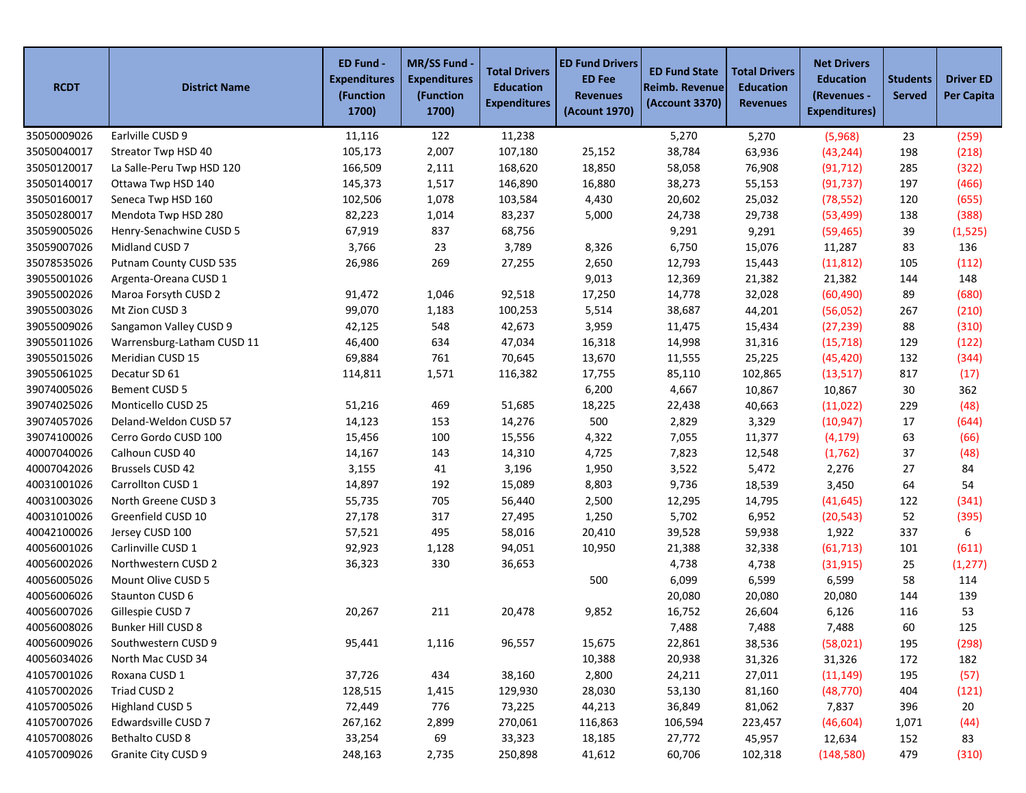| <b>RCDT</b> | <b>District Name</b>       | ED Fund -<br><b>Expenditures</b><br>(Function<br>1700) | <b>MR/SS Fund</b><br><b>Expenditures</b><br>(Function<br>1700) | <b>Total Drivers</b><br><b>Education</b><br><b>Expenditures</b> | <b>ED Fund Drivers</b><br><b>ED Fee</b><br><b>Revenues</b><br>(Acount 1970) | <b>ED Fund State</b><br>Reimb. Revenue<br>(Account 3370) | <b>Total Drivers</b><br><b>Education</b><br><b>Revenues</b> | <b>Net Drivers</b><br><b>Education</b><br>(Revenues -<br><b>Expenditures)</b> | <b>Students</b><br><b>Served</b> | <b>Driver ED</b><br><b>Per Capita</b> |
|-------------|----------------------------|--------------------------------------------------------|----------------------------------------------------------------|-----------------------------------------------------------------|-----------------------------------------------------------------------------|----------------------------------------------------------|-------------------------------------------------------------|-------------------------------------------------------------------------------|----------------------------------|---------------------------------------|
| 35050009026 | Earlville CUSD 9           | 11,116                                                 | 122                                                            | 11,238                                                          |                                                                             | 5,270                                                    | 5,270                                                       | (5,968)                                                                       | 23                               | (259)                                 |
| 35050040017 | Streator Twp HSD 40        | 105,173                                                | 2,007                                                          | 107,180                                                         | 25,152                                                                      | 38,784                                                   | 63,936                                                      | (43, 244)                                                                     | 198                              | (218)                                 |
| 35050120017 | La Salle-Peru Twp HSD 120  | 166,509                                                | 2,111                                                          | 168,620                                                         | 18,850                                                                      | 58,058                                                   | 76,908                                                      | (91, 712)                                                                     | 285                              | (322)                                 |
| 35050140017 | Ottawa Twp HSD 140         | 145,373                                                | 1,517                                                          | 146,890                                                         | 16,880                                                                      | 38,273                                                   | 55,153                                                      | (91, 737)                                                                     | 197                              | (466)                                 |
| 35050160017 | Seneca Twp HSD 160         | 102,506                                                | 1,078                                                          | 103,584                                                         | 4,430                                                                       | 20,602                                                   | 25,032                                                      | (78, 552)                                                                     | 120                              | (655)                                 |
| 35050280017 | Mendota Twp HSD 280        | 82,223                                                 | 1,014                                                          | 83,237                                                          | 5,000                                                                       | 24,738                                                   | 29,738                                                      | (53, 499)                                                                     | 138                              | (388)                                 |
| 35059005026 | Henry-Senachwine CUSD 5    | 67,919                                                 | 837                                                            | 68,756                                                          |                                                                             | 9,291                                                    | 9,291                                                       | (59, 465)                                                                     | 39                               | (1, 525)                              |
| 35059007026 | Midland CUSD 7             | 3,766                                                  | 23                                                             | 3,789                                                           | 8,326                                                                       | 6,750                                                    | 15,076                                                      | 11,287                                                                        | 83                               | 136                                   |
| 35078535026 | Putnam County CUSD 535     | 26,986                                                 | 269                                                            | 27,255                                                          | 2,650                                                                       | 12,793                                                   | 15,443                                                      | (11, 812)                                                                     | 105                              | (112)                                 |
| 39055001026 | Argenta-Oreana CUSD 1      |                                                        |                                                                |                                                                 | 9,013                                                                       | 12,369                                                   | 21,382                                                      | 21,382                                                                        | 144                              | 148                                   |
| 39055002026 | Maroa Forsyth CUSD 2       | 91,472                                                 | 1,046                                                          | 92,518                                                          | 17,250                                                                      | 14,778                                                   | 32,028                                                      | (60, 490)                                                                     | 89                               | (680)                                 |
| 39055003026 | Mt Zion CUSD 3             | 99,070                                                 | 1,183                                                          | 100,253                                                         | 5,514                                                                       | 38,687                                                   | 44,201                                                      | (56,052)                                                                      | 267                              | (210)                                 |
| 39055009026 | Sangamon Valley CUSD 9     | 42,125                                                 | 548                                                            | 42,673                                                          | 3,959                                                                       | 11,475                                                   | 15,434                                                      | (27, 239)                                                                     | 88                               | (310)                                 |
| 39055011026 | Warrensburg-Latham CUSD 11 | 46,400                                                 | 634                                                            | 47,034                                                          | 16,318                                                                      | 14,998                                                   | 31,316                                                      | (15, 718)                                                                     | 129                              | (122)                                 |
| 39055015026 | Meridian CUSD 15           | 69,884                                                 | 761                                                            | 70,645                                                          | 13,670                                                                      | 11,555                                                   | 25,225                                                      | (45, 420)                                                                     | 132                              | (344)                                 |
| 39055061025 | Decatur SD 61              | 114,811                                                | 1,571                                                          | 116,382                                                         | 17,755                                                                      | 85,110                                                   | 102,865                                                     | (13,517)                                                                      | 817                              | (17)                                  |
| 39074005026 | Bement CUSD 5              |                                                        |                                                                |                                                                 | 6,200                                                                       | 4,667                                                    | 10,867                                                      | 10,867                                                                        | 30                               | 362                                   |
| 39074025026 | Monticello CUSD 25         | 51,216                                                 | 469                                                            | 51,685                                                          | 18,225                                                                      | 22,438                                                   | 40,663                                                      | (11, 022)                                                                     | 229                              | (48)                                  |
| 39074057026 | Deland-Weldon CUSD 57      | 14,123                                                 | 153                                                            | 14,276                                                          | 500                                                                         | 2,829                                                    | 3,329                                                       | (10, 947)                                                                     | 17                               | (644)                                 |
| 39074100026 | Cerro Gordo CUSD 100       | 15,456                                                 | 100                                                            | 15,556                                                          | 4,322                                                                       | 7,055                                                    | 11,377                                                      | (4, 179)                                                                      | 63                               | (66)                                  |
| 40007040026 | Calhoun CUSD 40            | 14,167                                                 | 143                                                            | 14,310                                                          | 4,725                                                                       | 7,823                                                    | 12,548                                                      | (1,762)                                                                       | 37                               | (48)                                  |
| 40007042026 | Brussels CUSD 42           | 3,155                                                  | 41                                                             | 3,196                                                           | 1,950                                                                       | 3,522                                                    | 5,472                                                       | 2,276                                                                         | 27                               | 84                                    |
| 40031001026 | Carrollton CUSD 1          | 14,897                                                 | 192                                                            | 15,089                                                          | 8,803                                                                       | 9,736                                                    | 18,539                                                      | 3,450                                                                         | 64                               | 54                                    |
| 40031003026 | North Greene CUSD 3        | 55,735                                                 | 705                                                            | 56,440                                                          | 2,500                                                                       | 12,295                                                   | 14,795                                                      | (41, 645)                                                                     | 122                              | (341)                                 |
| 40031010026 | Greenfield CUSD 10         | 27,178                                                 | 317                                                            | 27,495                                                          | 1,250                                                                       | 5,702                                                    | 6,952                                                       | (20, 543)                                                                     | 52                               | (395)                                 |
| 40042100026 | Jersey CUSD 100            | 57,521                                                 | 495                                                            | 58,016                                                          | 20,410                                                                      | 39,528                                                   | 59,938                                                      | 1,922                                                                         | 337                              | 6                                     |
| 40056001026 | Carlinville CUSD 1         | 92,923                                                 | 1,128                                                          | 94,051                                                          | 10,950                                                                      | 21,388                                                   | 32,338                                                      | (61, 713)                                                                     | 101                              | (611)                                 |
| 40056002026 | Northwestern CUSD 2        | 36,323                                                 | 330                                                            | 36,653                                                          |                                                                             | 4,738                                                    | 4,738                                                       | (31, 915)                                                                     | 25                               | (1, 277)                              |
| 40056005026 | Mount Olive CUSD 5         |                                                        |                                                                |                                                                 | 500                                                                         | 6,099                                                    | 6,599                                                       | 6,599                                                                         | 58                               | 114                                   |
| 40056006026 | Staunton CUSD 6            |                                                        |                                                                |                                                                 |                                                                             | 20,080                                                   | 20,080                                                      | 20,080                                                                        | 144                              | 139                                   |
| 40056007026 | Gillespie CUSD 7           | 20,267                                                 | 211                                                            | 20,478                                                          | 9,852                                                                       | 16,752                                                   | 26,604                                                      | 6,126                                                                         | 116                              | 53                                    |
| 40056008026 | Bunker Hill CUSD 8         |                                                        |                                                                |                                                                 |                                                                             | 7,488                                                    | 7,488                                                       | 7,488                                                                         | 60                               | 125                                   |
| 40056009026 | Southwestern CUSD 9        | 95,441                                                 | 1,116                                                          | 96,557                                                          | 15,675                                                                      | 22,861                                                   | 38,536                                                      | (58,021)                                                                      | 195                              | (298)                                 |
| 40056034026 | North Mac CUSD 34          |                                                        |                                                                |                                                                 | 10,388                                                                      | 20,938                                                   | 31,326                                                      | 31,326                                                                        | 172                              | 182                                   |
| 41057001026 | Roxana CUSD 1              | 37,726                                                 | 434                                                            | 38,160                                                          | 2,800                                                                       | 24,211                                                   | 27,011                                                      | (11, 149)                                                                     | 195                              | (57)                                  |
| 41057002026 | Triad CUSD 2               | 128,515                                                | 1,415                                                          | 129,930                                                         | 28,030                                                                      | 53,130                                                   | 81,160                                                      | (48, 770)                                                                     | 404                              | (121)                                 |
| 41057005026 | Highland CUSD 5            | 72,449                                                 | 776                                                            | 73,225                                                          | 44,213                                                                      | 36,849                                                   | 81,062                                                      | 7,837                                                                         | 396                              | 20                                    |
| 41057007026 | Edwardsville CUSD 7        | 267,162                                                | 2,899                                                          | 270,061                                                         | 116,863                                                                     | 106,594                                                  | 223,457                                                     | (46, 604)                                                                     | 1,071                            | (44)                                  |
| 41057008026 | Bethalto CUSD 8            | 33,254                                                 | 69                                                             | 33,323                                                          | 18,185                                                                      | 27,772                                                   | 45,957                                                      | 12,634                                                                        | 152                              | 83                                    |
| 41057009026 | Granite City CUSD 9        | 248,163                                                | 2,735                                                          | 250,898                                                         | 41,612                                                                      | 60,706                                                   | 102,318                                                     | (148,580)                                                                     | 479                              | (310)                                 |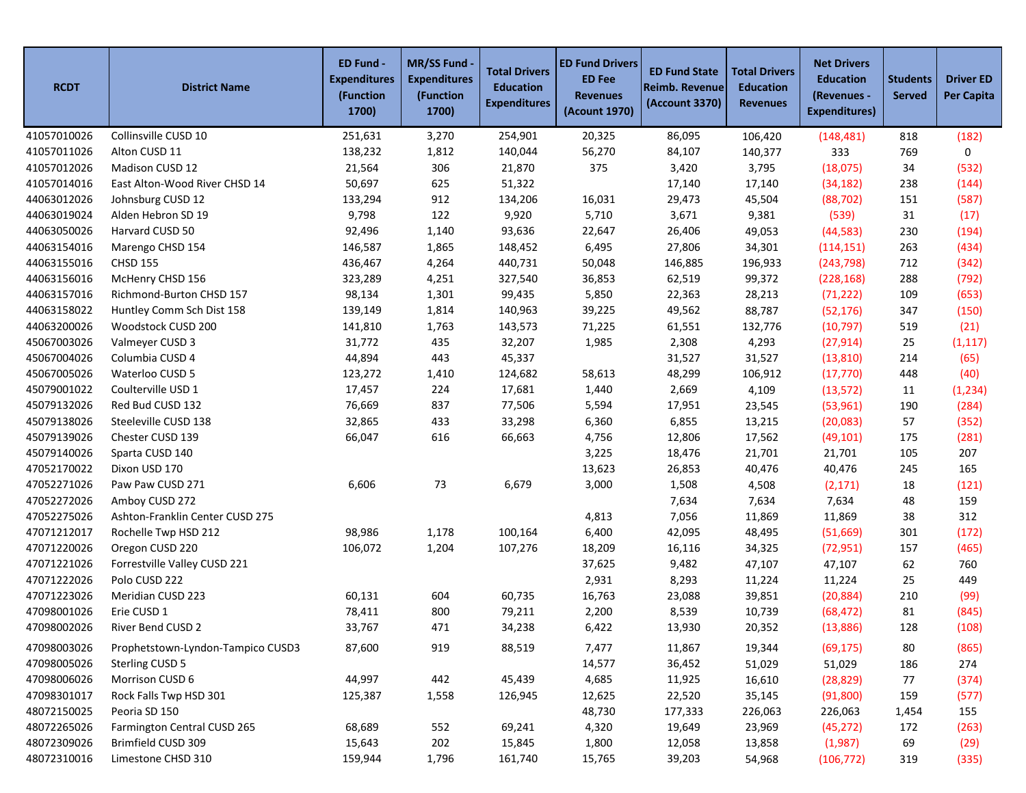| <b>RCDT</b> | <b>District Name</b>              | ED Fund -<br><b>Expenditures</b><br>(Function<br>1700) | MR/SS Fund -<br><b>Expenditures</b><br>(Function<br>1700) | <b>Total Drivers</b><br><b>Education</b><br><b>Expenditures</b> | <b>ED Fund Drivers</b><br><b>ED Fee</b><br><b>Revenues</b><br><b>(Acount 1970)</b> | <b>ED Fund State</b><br><b>Reimb. Revenue</b><br>(Account 3370) | <b>Total Drivers</b><br><b>Education</b><br><b>Revenues</b> | <b>Net Drivers</b><br><b>Education</b><br>(Revenues -<br><b>Expenditures)</b> | <b>Students</b><br><b>Served</b> | <b>Driver ED</b><br><b>Per Capita</b> |
|-------------|-----------------------------------|--------------------------------------------------------|-----------------------------------------------------------|-----------------------------------------------------------------|------------------------------------------------------------------------------------|-----------------------------------------------------------------|-------------------------------------------------------------|-------------------------------------------------------------------------------|----------------------------------|---------------------------------------|
| 41057010026 | Collinsville CUSD 10              | 251,631                                                | 3,270                                                     | 254,901                                                         | 20,325                                                                             | 86,095                                                          | 106,420                                                     | (148, 481)                                                                    | 818                              | (182)                                 |
| 41057011026 | Alton CUSD 11                     | 138,232                                                | 1,812                                                     | 140,044                                                         | 56,270                                                                             | 84,107                                                          | 140,377                                                     | 333                                                                           | 769                              | 0                                     |
| 41057012026 | Madison CUSD 12                   | 21,564                                                 | 306                                                       | 21,870                                                          | 375                                                                                | 3,420                                                           | 3,795                                                       | (18,075)                                                                      | 34                               | (532)                                 |
| 41057014016 | East Alton-Wood River CHSD 14     | 50,697                                                 | 625                                                       | 51,322                                                          |                                                                                    | 17,140                                                          | 17,140                                                      | (34, 182)                                                                     | 238                              | (144)                                 |
| 44063012026 | Johnsburg CUSD 12                 | 133,294                                                | 912                                                       | 134,206                                                         | 16,031                                                                             | 29,473                                                          | 45,504                                                      | (88, 702)                                                                     | 151                              | (587)                                 |
| 44063019024 | Alden Hebron SD 19                | 9,798                                                  | 122                                                       | 9,920                                                           | 5,710                                                                              | 3,671                                                           | 9,381                                                       | (539)                                                                         | 31                               | (17)                                  |
| 44063050026 | Harvard CUSD 50                   | 92,496                                                 | 1,140                                                     | 93,636                                                          | 22,647                                                                             | 26,406                                                          | 49,053                                                      | (44, 583)                                                                     | 230                              | (194)                                 |
| 44063154016 | Marengo CHSD 154                  | 146,587                                                | 1,865                                                     | 148,452                                                         | 6,495                                                                              | 27,806                                                          | 34,301                                                      | (114, 151)                                                                    | 263                              | (434)                                 |
| 44063155016 | <b>CHSD 155</b>                   | 436,467                                                | 4,264                                                     | 440,731                                                         | 50,048                                                                             | 146,885                                                         | 196,933                                                     | (243, 798)                                                                    | 712                              | (342)                                 |
| 44063156016 | McHenry CHSD 156                  | 323,289                                                | 4,251                                                     | 327,540                                                         | 36,853                                                                             | 62,519                                                          | 99,372                                                      | (228, 168)                                                                    | 288                              | (792)                                 |
| 44063157016 | Richmond-Burton CHSD 157          | 98,134                                                 | 1,301                                                     | 99,435                                                          | 5,850                                                                              | 22,363                                                          | 28,213                                                      | (71, 222)                                                                     | 109                              | (653)                                 |
| 44063158022 | Huntley Comm Sch Dist 158         | 139,149                                                | 1,814                                                     | 140,963                                                         | 39,225                                                                             | 49,562                                                          | 88,787                                                      | (52, 176)                                                                     | 347                              | (150)                                 |
| 44063200026 | Woodstock CUSD 200                | 141,810                                                | 1,763                                                     | 143,573                                                         | 71,225                                                                             | 61,551                                                          | 132,776                                                     | (10, 797)                                                                     | 519                              | (21)                                  |
| 45067003026 | Valmeyer CUSD 3                   | 31,772                                                 | 435                                                       | 32,207                                                          | 1,985                                                                              | 2,308                                                           | 4,293                                                       | (27, 914)                                                                     | 25                               | (1, 117)                              |
| 45067004026 | Columbia CUSD 4                   | 44,894                                                 | 443                                                       | 45,337                                                          |                                                                                    | 31,527                                                          | 31,527                                                      | (13, 810)                                                                     | 214                              | (65)                                  |
| 45067005026 | Waterloo CUSD 5                   | 123,272                                                | 1,410                                                     | 124,682                                                         | 58,613                                                                             | 48,299                                                          | 106,912                                                     | (17, 770)                                                                     | 448                              | (40)                                  |
| 45079001022 | Coulterville USD 1                | 17,457                                                 | 224                                                       | 17,681                                                          | 1,440                                                                              | 2,669                                                           | 4,109                                                       | (13, 572)                                                                     | 11                               | (1, 234)                              |
| 45079132026 | Red Bud CUSD 132                  | 76,669                                                 | 837                                                       | 77,506                                                          | 5,594                                                                              | 17,951                                                          | 23,545                                                      | (53,961)                                                                      | 190                              | (284)                                 |
| 45079138026 | Steeleville CUSD 138              | 32,865                                                 | 433                                                       | 33,298                                                          | 6,360                                                                              | 6,855                                                           | 13,215                                                      | (20,083)                                                                      | 57                               | (352)                                 |
| 45079139026 | Chester CUSD 139                  | 66,047                                                 | 616                                                       | 66,663                                                          | 4,756                                                                              | 12,806                                                          | 17,562                                                      | (49, 101)                                                                     | 175                              | (281)                                 |
| 45079140026 | Sparta CUSD 140                   |                                                        |                                                           |                                                                 | 3,225                                                                              | 18,476                                                          | 21,701                                                      | 21,701                                                                        | 105                              | 207                                   |
| 47052170022 | Dixon USD 170                     |                                                        |                                                           |                                                                 | 13,623                                                                             | 26,853                                                          | 40,476                                                      | 40,476                                                                        | 245                              | 165                                   |
| 47052271026 | Paw Paw CUSD 271                  | 6,606                                                  | 73                                                        | 6,679                                                           | 3,000                                                                              | 1,508                                                           | 4,508                                                       | (2, 171)                                                                      | 18                               | (121)                                 |
| 47052272026 | Amboy CUSD 272                    |                                                        |                                                           |                                                                 |                                                                                    | 7,634                                                           | 7,634                                                       | 7,634                                                                         | 48                               | 159                                   |
| 47052275026 | Ashton-Franklin Center CUSD 275   |                                                        |                                                           |                                                                 | 4,813                                                                              | 7,056                                                           | 11,869                                                      | 11,869                                                                        | 38                               | 312                                   |
| 47071212017 | Rochelle Twp HSD 212              | 98,986                                                 | 1,178                                                     | 100,164                                                         | 6,400                                                                              | 42,095                                                          | 48,495                                                      | (51,669)                                                                      | 301                              | (172)                                 |
| 47071220026 | Oregon CUSD 220                   | 106,072                                                | 1,204                                                     | 107,276                                                         | 18,209                                                                             | 16,116                                                          | 34,325                                                      | (72, 951)                                                                     | 157                              | (465)                                 |
| 47071221026 | Forrestville Valley CUSD 221      |                                                        |                                                           |                                                                 | 37,625                                                                             | 9,482                                                           | 47,107                                                      | 47,107                                                                        | 62                               | 760                                   |
| 47071222026 | Polo CUSD 222                     |                                                        |                                                           |                                                                 | 2,931                                                                              | 8,293                                                           | 11,224                                                      | 11,224                                                                        | 25                               | 449                                   |
| 47071223026 | Meridian CUSD 223                 | 60,131                                                 | 604                                                       | 60,735                                                          | 16,763                                                                             | 23,088                                                          | 39,851                                                      | (20, 884)                                                                     | 210                              | (99)                                  |
| 47098001026 | Erie CUSD 1                       | 78,411                                                 | 800                                                       | 79,211                                                          | 2,200                                                                              | 8,539                                                           | 10,739                                                      | (68, 472)                                                                     | 81                               | (845)                                 |
| 47098002026 | River Bend CUSD 2                 | 33,767                                                 | 471                                                       | 34,238                                                          | 6,422                                                                              | 13,930                                                          | 20,352                                                      | (13,886)                                                                      | 128                              | (108)                                 |
| 47098003026 | Prophetstown-Lyndon-Tampico CUSD3 | 87,600                                                 | 919                                                       | 88,519                                                          | 7,477                                                                              | 11,867                                                          | 19,344                                                      | (69, 175)                                                                     | 80                               | (865)                                 |
| 47098005026 | Sterling CUSD 5                   |                                                        |                                                           |                                                                 | 14,577                                                                             | 36,452                                                          | 51,029                                                      | 51,029                                                                        | 186                              | 274                                   |
| 47098006026 | Morrison CUSD 6                   | 44,997                                                 | 442                                                       | 45,439                                                          | 4,685                                                                              | 11,925                                                          | 16,610                                                      | (28, 829)                                                                     | 77                               | (374)                                 |
| 47098301017 | Rock Falls Twp HSD 301            | 125,387                                                | 1,558                                                     | 126,945                                                         | 12,625                                                                             | 22,520                                                          | 35,145                                                      | (91, 800)                                                                     | 159                              | (577)                                 |
| 48072150025 | Peoria SD 150                     |                                                        |                                                           |                                                                 | 48,730                                                                             | 177,333                                                         | 226,063                                                     | 226,063                                                                       | 1,454                            | 155                                   |
| 48072265026 | Farmington Central CUSD 265       | 68,689                                                 | 552                                                       | 69,241                                                          | 4,320                                                                              | 19,649                                                          | 23,969                                                      | (45, 272)                                                                     | 172                              | (263)                                 |
| 48072309026 | Brimfield CUSD 309                | 15,643                                                 | 202                                                       | 15,845                                                          | 1,800                                                                              | 12,058                                                          | 13,858                                                      | (1,987)                                                                       | 69                               | (29)                                  |
| 48072310016 | Limestone CHSD 310                | 159,944                                                | 1,796                                                     | 161,740                                                         | 15,765                                                                             | 39,203                                                          | 54,968                                                      | (106, 772)                                                                    | 319                              | (335)                                 |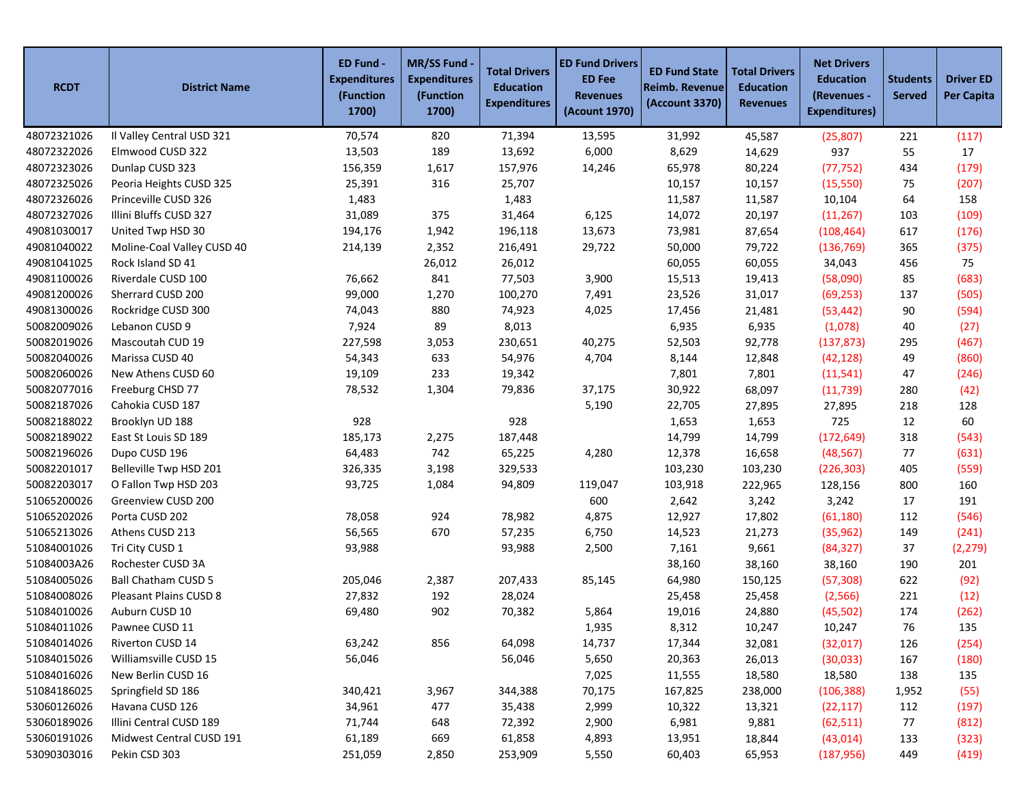| <b>RCDT</b> | <b>District Name</b>       | ED Fund -<br><b>Expenditures</b><br>(Function<br>1700) | MR/SS Fund -<br><b>Expenditures</b><br>(Function<br>1700) | <b>Total Drivers</b><br><b>Education</b><br><b>Expenditures</b> | <b>ED Fund Drivers</b><br><b>ED Fee</b><br><b>Revenues</b><br>(Acount 1970) | <b>ED Fund State</b><br>Reimb. Revenue<br>(Account 3370) | <b>Total Drivers</b><br><b>Education</b><br><b>Revenues</b> | <b>Net Drivers</b><br><b>Education</b><br>(Revenues -<br><b>Expenditures)</b> | <b>Students</b><br><b>Served</b> | <b>Driver ED</b><br><b>Per Capita</b> |
|-------------|----------------------------|--------------------------------------------------------|-----------------------------------------------------------|-----------------------------------------------------------------|-----------------------------------------------------------------------------|----------------------------------------------------------|-------------------------------------------------------------|-------------------------------------------------------------------------------|----------------------------------|---------------------------------------|
| 48072321026 | Il Valley Central USD 321  | 70,574                                                 | 820                                                       | 71,394                                                          | 13,595                                                                      | 31,992                                                   | 45,587                                                      | (25, 807)                                                                     | 221                              | (117)                                 |
| 48072322026 | Elmwood CUSD 322           | 13,503                                                 | 189                                                       | 13,692                                                          | 6,000                                                                       | 8,629                                                    | 14,629                                                      | 937                                                                           | 55                               | 17                                    |
| 48072323026 | Dunlap CUSD 323            | 156,359                                                | 1,617                                                     | 157,976                                                         | 14,246                                                                      | 65,978                                                   | 80,224                                                      | (77, 752)                                                                     | 434                              | (179)                                 |
| 48072325026 | Peoria Heights CUSD 325    | 25,391                                                 | 316                                                       | 25,707                                                          |                                                                             | 10,157                                                   | 10,157                                                      | (15, 550)                                                                     | 75                               | (207)                                 |
| 48072326026 | Princeville CUSD 326       | 1,483                                                  |                                                           | 1,483                                                           |                                                                             | 11,587                                                   | 11,587                                                      | 10,104                                                                        | 64                               | 158                                   |
| 48072327026 | Illini Bluffs CUSD 327     | 31,089                                                 | 375                                                       | 31,464                                                          | 6,125                                                                       | 14,072                                                   | 20,197                                                      | (11, 267)                                                                     | 103                              | (109)                                 |
| 49081030017 | United Twp HSD 30          | 194,176                                                | 1,942                                                     | 196,118                                                         | 13,673                                                                      | 73,981                                                   | 87,654                                                      | (108, 464)                                                                    | 617                              | (176)                                 |
| 49081040022 | Moline-Coal Valley CUSD 40 | 214,139                                                | 2,352                                                     | 216,491                                                         | 29,722                                                                      | 50,000                                                   | 79,722                                                      | (136, 769)                                                                    | 365                              | (375)                                 |
| 49081041025 | Rock Island SD 41          |                                                        | 26,012                                                    | 26,012                                                          |                                                                             | 60,055                                                   | 60,055                                                      | 34,043                                                                        | 456                              | 75                                    |
| 49081100026 | Riverdale CUSD 100         | 76,662                                                 | 841                                                       | 77,503                                                          | 3,900                                                                       | 15,513                                                   | 19,413                                                      | (58,090)                                                                      | 85                               | (683)                                 |
| 49081200026 | Sherrard CUSD 200          | 99,000                                                 | 1,270                                                     | 100,270                                                         | 7,491                                                                       | 23,526                                                   | 31,017                                                      | (69, 253)                                                                     | 137                              | (505)                                 |
| 49081300026 | Rockridge CUSD 300         | 74,043                                                 | 880                                                       | 74,923                                                          | 4,025                                                                       | 17,456                                                   | 21,481                                                      | (53, 442)                                                                     | 90                               | (594)                                 |
| 50082009026 | Lebanon CUSD 9             | 7,924                                                  | 89                                                        | 8,013                                                           |                                                                             | 6,935                                                    | 6,935                                                       | (1,078)                                                                       | 40                               | (27)                                  |
| 50082019026 | Mascoutah CUD 19           | 227,598                                                | 3,053                                                     | 230,651                                                         | 40,275                                                                      | 52,503                                                   | 92,778                                                      | (137, 873)                                                                    | 295                              | (467)                                 |
| 50082040026 | Marissa CUSD 40            | 54,343                                                 | 633                                                       | 54,976                                                          | 4,704                                                                       | 8,144                                                    | 12,848                                                      | (42, 128)                                                                     | 49                               | (860)                                 |
| 50082060026 | New Athens CUSD 60         | 19,109                                                 | 233                                                       | 19,342                                                          |                                                                             | 7,801                                                    | 7,801                                                       | (11, 541)                                                                     | 47                               | (246)                                 |
| 50082077016 | Freeburg CHSD 77           | 78,532                                                 | 1,304                                                     | 79,836                                                          | 37,175                                                                      | 30,922                                                   | 68,097                                                      | (11, 739)                                                                     | 280                              | (42)                                  |
| 50082187026 | Cahokia CUSD 187           |                                                        |                                                           |                                                                 | 5,190                                                                       | 22,705                                                   | 27,895                                                      | 27,895                                                                        | 218                              | 128                                   |
| 50082188022 | Brooklyn UD 188            | 928                                                    |                                                           | 928                                                             |                                                                             | 1,653                                                    | 1,653                                                       | 725                                                                           | 12                               | 60                                    |
| 50082189022 | East St Louis SD 189       | 185,173                                                | 2,275                                                     | 187,448                                                         |                                                                             | 14,799                                                   | 14,799                                                      | (172, 649)                                                                    | 318                              | (543)                                 |
| 50082196026 | Dupo CUSD 196              | 64,483                                                 | 742                                                       | 65,225                                                          | 4,280                                                                       | 12,378                                                   | 16,658                                                      | (48, 567)                                                                     | 77                               | (631)                                 |
| 50082201017 | Belleville Twp HSD 201     | 326,335                                                | 3,198                                                     | 329,533                                                         |                                                                             | 103,230                                                  | 103,230                                                     | (226, 303)                                                                    | 405                              | (559)                                 |
| 50082203017 | O Fallon Twp HSD 203       | 93,725                                                 | 1,084                                                     | 94,809                                                          | 119,047                                                                     | 103,918                                                  | 222,965                                                     | 128,156                                                                       | 800                              | 160                                   |
| 51065200026 | Greenview CUSD 200         |                                                        |                                                           |                                                                 | 600                                                                         | 2,642                                                    | 3,242                                                       | 3,242                                                                         | 17                               | 191                                   |
| 51065202026 | Porta CUSD 202             | 78,058                                                 | 924                                                       | 78,982                                                          | 4,875                                                                       | 12,927                                                   | 17,802                                                      | (61, 180)                                                                     | 112                              | (546)                                 |
| 51065213026 | Athens CUSD 213            | 56,565                                                 | 670                                                       | 57,235                                                          | 6,750                                                                       | 14,523                                                   | 21,273                                                      | (35, 962)                                                                     | 149                              | (241)                                 |
| 51084001026 | Tri City CUSD 1            | 93,988                                                 |                                                           | 93,988                                                          | 2,500                                                                       | 7,161                                                    | 9,661                                                       | (84, 327)                                                                     | 37                               | (2, 279)                              |
| 51084003A26 | Rochester CUSD 3A          |                                                        |                                                           |                                                                 |                                                                             | 38,160                                                   | 38,160                                                      | 38,160                                                                        | 190                              | 201                                   |
| 51084005026 | <b>Ball Chatham CUSD 5</b> | 205,046                                                | 2,387                                                     | 207,433                                                         | 85,145                                                                      | 64,980                                                   | 150,125                                                     | (57, 308)                                                                     | 622                              | (92)                                  |
| 51084008026 | Pleasant Plains CUSD 8     | 27,832                                                 | 192                                                       | 28,024                                                          |                                                                             | 25,458                                                   | 25,458                                                      | (2, 566)                                                                      | 221                              | (12)                                  |
| 51084010026 | Auburn CUSD 10             | 69,480                                                 | 902                                                       | 70,382                                                          | 5,864                                                                       | 19,016                                                   | 24,880                                                      | (45, 502)                                                                     | 174                              | (262)                                 |
| 51084011026 | Pawnee CUSD 11             |                                                        |                                                           |                                                                 | 1,935                                                                       | 8,312                                                    | 10,247                                                      | 10,247                                                                        | 76                               | 135                                   |
| 51084014026 | Riverton CUSD 14           | 63,242                                                 | 856                                                       | 64,098                                                          | 14,737                                                                      | 17,344                                                   | 32,081                                                      | (32,017)                                                                      | 126                              | (254)                                 |
| 51084015026 | Williamsville CUSD 15      | 56,046                                                 |                                                           | 56,046                                                          | 5,650                                                                       | 20,363                                                   | 26,013                                                      | (30,033)                                                                      | 167                              | (180)                                 |
| 51084016026 | New Berlin CUSD 16         |                                                        |                                                           |                                                                 | 7,025                                                                       | 11,555                                                   | 18,580                                                      | 18,580                                                                        | 138                              | 135                                   |
| 51084186025 | Springfield SD 186         | 340,421                                                | 3,967                                                     | 344,388                                                         | 70,175                                                                      | 167,825                                                  | 238,000                                                     | (106, 388)                                                                    | 1,952                            | (55)                                  |
| 53060126026 | Havana CUSD 126            | 34,961                                                 | 477                                                       | 35,438                                                          | 2,999                                                                       | 10,322                                                   | 13,321                                                      | (22, 117)                                                                     | 112                              | (197)                                 |
| 53060189026 | Illini Central CUSD 189    | 71,744                                                 | 648                                                       | 72,392                                                          | 2,900                                                                       | 6,981                                                    | 9,881                                                       | (62, 511)                                                                     | 77                               | (812)                                 |
| 53060191026 | Midwest Central CUSD 191   | 61,189                                                 | 669                                                       | 61,858                                                          | 4,893                                                                       | 13,951                                                   | 18,844                                                      | (43, 014)                                                                     | 133                              | (323)                                 |
| 53090303016 | Pekin CSD 303              | 251,059                                                | 2,850                                                     | 253,909                                                         | 5,550                                                                       | 60,403                                                   | 65,953                                                      | (187, 956)                                                                    | 449                              | (419)                                 |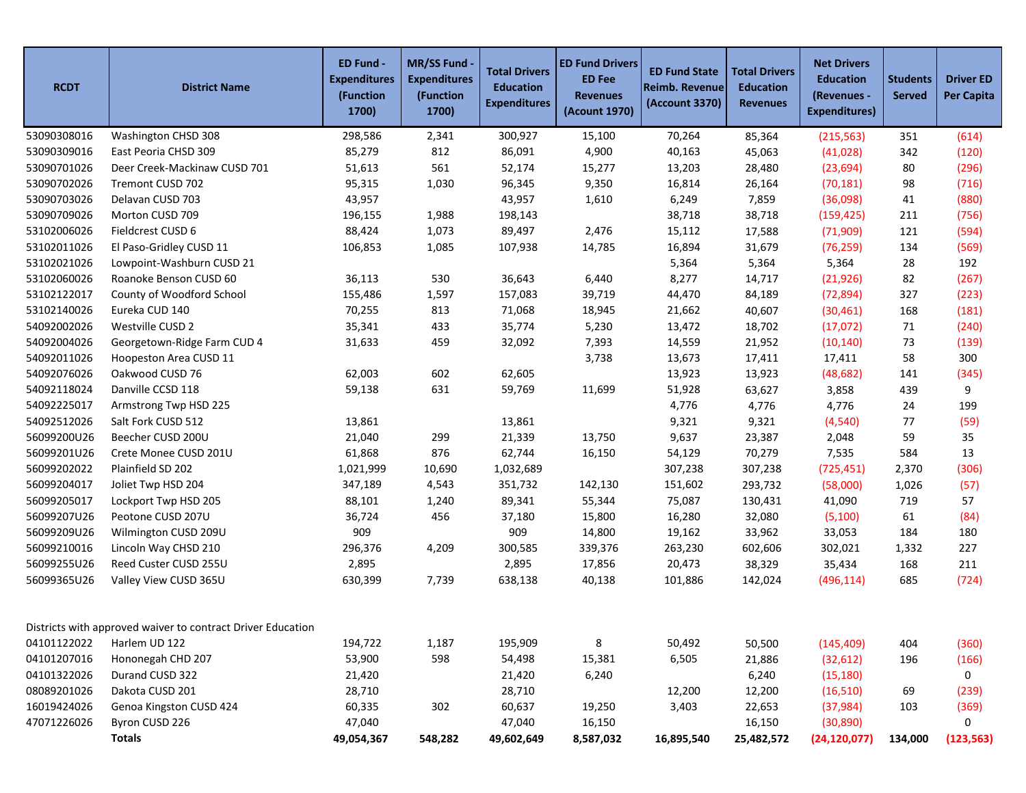| <b>RCDT</b> | <b>District Name</b>                                        | ED Fund -<br><b>Expenditures</b><br>(Function<br>1700) | MR/SS Fund -<br><b>Expenditures</b><br>(Function<br>1700) | <b>Total Drivers</b><br><b>Education</b><br><b>Expenditures</b> | <b>ED Fund Drivers</b><br><b>ED Fee</b><br><b>Revenues</b><br>(Acount 1970) | <b>ED Fund State</b><br>Reimb. Revenue<br>(Account 3370) | <b>Total Drivers</b><br><b>Education</b><br><b>Revenues</b> | <b>Net Drivers</b><br><b>Education</b><br>(Revenues -<br><b>Expenditures)</b> | <b>Students</b><br><b>Served</b> | <b>Driver ED</b><br><b>Per Capita</b> |
|-------------|-------------------------------------------------------------|--------------------------------------------------------|-----------------------------------------------------------|-----------------------------------------------------------------|-----------------------------------------------------------------------------|----------------------------------------------------------|-------------------------------------------------------------|-------------------------------------------------------------------------------|----------------------------------|---------------------------------------|
| 53090308016 | Washington CHSD 308                                         | 298,586                                                | 2,341                                                     | 300,927                                                         | 15,100                                                                      | 70,264                                                   | 85,364                                                      | (215, 563)                                                                    | 351                              | (614)                                 |
| 53090309016 | East Peoria CHSD 309                                        | 85,279                                                 | 812                                                       | 86,091                                                          | 4,900                                                                       | 40,163                                                   | 45,063                                                      | (41, 028)                                                                     | 342                              | (120)                                 |
| 53090701026 | Deer Creek-Mackinaw CUSD 701                                | 51,613                                                 | 561                                                       | 52,174                                                          | 15,277                                                                      | 13,203                                                   | 28,480                                                      | (23, 694)                                                                     | 80                               | (296)                                 |
| 53090702026 | Tremont CUSD 702                                            | 95,315                                                 | 1,030                                                     | 96,345                                                          | 9,350                                                                       | 16,814                                                   | 26,164                                                      | (70, 181)                                                                     | 98                               | (716)                                 |
| 53090703026 | Delavan CUSD 703                                            | 43,957                                                 |                                                           | 43,957                                                          | 1,610                                                                       | 6,249                                                    | 7,859                                                       | (36,098)                                                                      | 41                               | (880)                                 |
| 53090709026 | Morton CUSD 709                                             | 196,155                                                | 1,988                                                     | 198,143                                                         |                                                                             | 38,718                                                   | 38,718                                                      | (159, 425)                                                                    | 211                              | (756)                                 |
| 53102006026 | Fieldcrest CUSD 6                                           | 88,424                                                 | 1,073                                                     | 89,497                                                          | 2,476                                                                       | 15,112                                                   | 17,588                                                      | (71,909)                                                                      | 121                              | (594)                                 |
| 53102011026 | El Paso-Gridley CUSD 11                                     | 106,853                                                | 1,085                                                     | 107,938                                                         | 14,785                                                                      | 16,894                                                   | 31,679                                                      | (76, 259)                                                                     | 134                              | (569)                                 |
| 53102021026 | Lowpoint-Washburn CUSD 21                                   |                                                        |                                                           |                                                                 |                                                                             | 5,364                                                    | 5,364                                                       | 5,364                                                                         | 28                               | 192                                   |
| 53102060026 | Roanoke Benson CUSD 60                                      | 36,113                                                 | 530                                                       | 36,643                                                          | 6,440                                                                       | 8,277                                                    | 14,717                                                      | (21, 926)                                                                     | 82                               | (267)                                 |
| 53102122017 | County of Woodford School                                   | 155,486                                                | 1,597                                                     | 157,083                                                         | 39,719                                                                      | 44,470                                                   | 84,189                                                      | (72, 894)                                                                     | 327                              | (223)                                 |
| 53102140026 | Eureka CUD 140                                              | 70,255                                                 | 813                                                       | 71,068                                                          | 18,945                                                                      | 21,662                                                   | 40,607                                                      | (30, 461)                                                                     | 168                              | (181)                                 |
| 54092002026 | Westville CUSD 2                                            | 35,341                                                 | 433                                                       | 35,774                                                          | 5,230                                                                       | 13,472                                                   | 18,702                                                      | (17,072)                                                                      | 71                               | (240)                                 |
| 54092004026 | Georgetown-Ridge Farm CUD 4                                 | 31,633                                                 | 459                                                       | 32,092                                                          | 7,393                                                                       | 14,559                                                   | 21,952                                                      | (10, 140)                                                                     | 73                               | (139)                                 |
| 54092011026 | Hoopeston Area CUSD 11                                      |                                                        |                                                           |                                                                 | 3,738                                                                       | 13,673                                                   | 17,411                                                      | 17,411                                                                        | 58                               | 300                                   |
| 54092076026 | Oakwood CUSD 76                                             | 62,003                                                 | 602                                                       | 62,605                                                          |                                                                             | 13,923                                                   | 13,923                                                      | (48, 682)                                                                     | 141                              | (345)                                 |
| 54092118024 | Danville CCSD 118                                           | 59,138                                                 | 631                                                       | 59,769                                                          | 11,699                                                                      | 51,928                                                   | 63,627                                                      | 3,858                                                                         | 439                              | 9                                     |
| 54092225017 | Armstrong Twp HSD 225                                       |                                                        |                                                           |                                                                 |                                                                             | 4,776                                                    | 4,776                                                       | 4,776                                                                         | 24                               | 199                                   |
| 54092512026 | Salt Fork CUSD 512                                          | 13,861                                                 |                                                           | 13,861                                                          |                                                                             | 9,321                                                    | 9,321                                                       | (4, 540)                                                                      | 77                               | (59)                                  |
| 56099200U26 | Beecher CUSD 200U                                           | 21,040                                                 | 299                                                       | 21,339                                                          | 13,750                                                                      | 9,637                                                    | 23,387                                                      | 2,048                                                                         | 59                               | 35                                    |
| 56099201U26 | Crete Monee CUSD 201U                                       | 61,868                                                 | 876                                                       | 62,744                                                          | 16,150                                                                      | 54,129                                                   | 70,279                                                      | 7,535                                                                         | 584                              | 13                                    |
| 56099202022 | Plainfield SD 202                                           | 1,021,999                                              | 10,690                                                    | 1,032,689                                                       |                                                                             | 307,238                                                  | 307,238                                                     | (725, 451)                                                                    | 2,370                            | (306)                                 |
| 56099204017 | Joliet Twp HSD 204                                          | 347,189                                                | 4,543                                                     | 351,732                                                         | 142,130                                                                     | 151,602                                                  | 293,732                                                     | (58,000)                                                                      | 1,026                            | (57)                                  |
| 56099205017 | Lockport Twp HSD 205                                        | 88,101                                                 | 1,240                                                     | 89,341                                                          | 55,344                                                                      | 75,087                                                   | 130,431                                                     | 41,090                                                                        | 719                              | 57                                    |
| 56099207U26 | Peotone CUSD 207U                                           | 36,724                                                 | 456                                                       | 37,180                                                          | 15,800                                                                      | 16,280                                                   | 32,080                                                      | (5, 100)                                                                      | 61                               | (84)                                  |
| 56099209U26 | Wilmington CUSD 209U                                        | 909                                                    |                                                           | 909                                                             | 14,800                                                                      | 19,162                                                   | 33,962                                                      | 33,053                                                                        | 184                              | 180                                   |
| 56099210016 | Lincoln Way CHSD 210                                        | 296,376                                                | 4,209                                                     | 300,585                                                         | 339,376                                                                     | 263,230                                                  | 602,606                                                     | 302,021                                                                       | 1,332                            | 227                                   |
| 56099255U26 | Reed Custer CUSD 255U                                       | 2,895                                                  |                                                           | 2,895                                                           | 17,856                                                                      | 20,473                                                   | 38,329                                                      | 35,434                                                                        | 168                              | 211                                   |
| 56099365U26 | Valley View CUSD 365U                                       | 630,399                                                | 7,739                                                     | 638,138                                                         | 40,138                                                                      | 101,886                                                  | 142,024                                                     | (496, 114)                                                                    | 685                              | (724)                                 |
|             | Districts with approved waiver to contract Driver Education |                                                        |                                                           |                                                                 |                                                                             |                                                          |                                                             |                                                                               |                                  |                                       |
| 04101122022 | Harlem UD 122                                               | 194,722                                                | 1,187                                                     | 195,909                                                         | 8                                                                           | 50,492                                                   | 50,500                                                      | (145, 409)                                                                    | 404                              | (360)                                 |
| 04101207016 | Hononegah CHD 207                                           | 53,900                                                 | 598                                                       | 54,498                                                          | 15,381                                                                      | 6,505                                                    | 21,886                                                      | (32, 612)                                                                     | 196                              | (166)                                 |
| 04101322026 | Durand CUSD 322                                             | 21,420                                                 |                                                           | 21,420                                                          | 6,240                                                                       |                                                          | 6,240                                                       | (15, 180)                                                                     |                                  | 0                                     |
| 08089201026 | Dakota CUSD 201                                             | 28,710                                                 |                                                           | 28,710                                                          |                                                                             | 12,200                                                   | 12,200                                                      | (16, 510)                                                                     | 69                               | (239)                                 |
| 16019424026 | Genoa Kingston CUSD 424                                     | 60,335                                                 | 302                                                       | 60,637                                                          | 19,250                                                                      | 3,403                                                    | 22,653                                                      | (37, 984)                                                                     | 103                              | (369)                                 |
| 47071226026 | Byron CUSD 226                                              | 47,040                                                 |                                                           | 47,040                                                          | 16,150                                                                      |                                                          | 16,150                                                      | (30, 890)                                                                     |                                  | 0                                     |
|             | <b>Totals</b>                                               | 49,054,367                                             | 548,282                                                   | 49,602,649                                                      | 8,587,032                                                                   | 16,895,540                                               | 25,482,572                                                  | (24, 120, 077)                                                                | 134,000                          | (123, 563)                            |